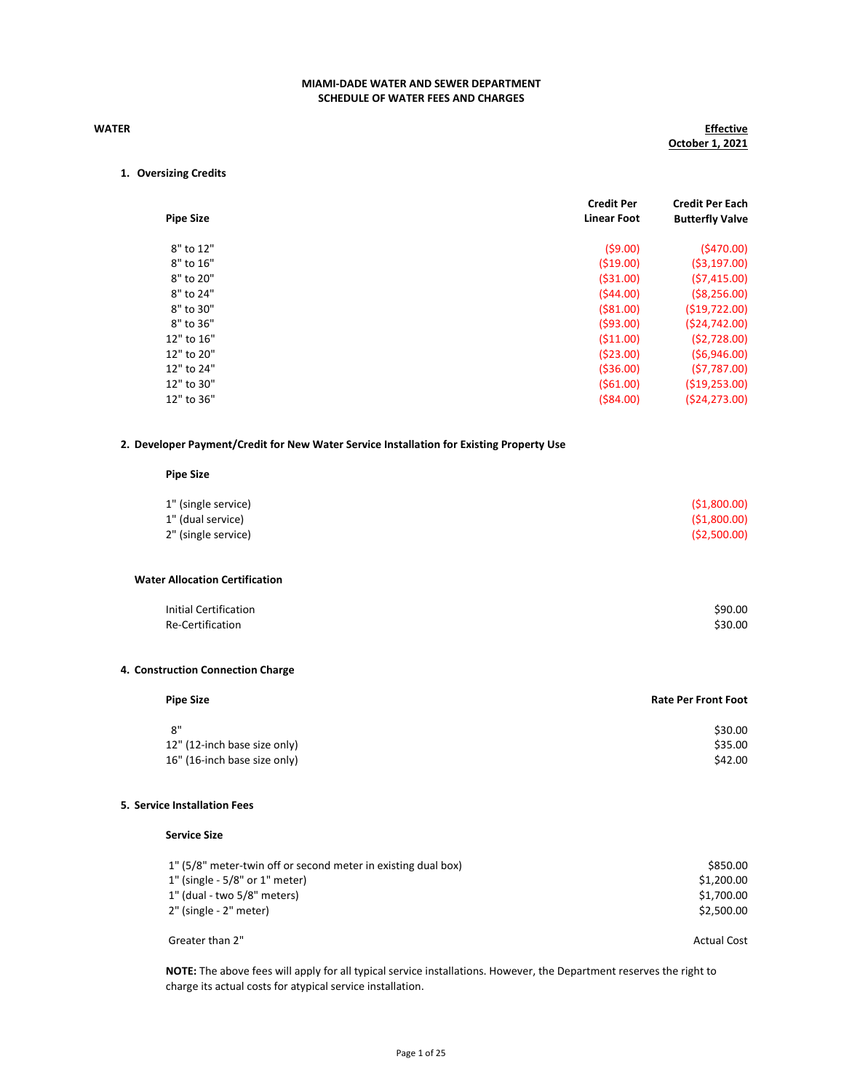## WATER

# **Effective** October 1, 2021

# 1. Oversizing Credits

| <b>Pipe Size</b> | <b>Credit Per</b><br><b>Linear Foot</b> | <b>Credit Per Each</b><br><b>Butterfly Valve</b> |
|------------------|-----------------------------------------|--------------------------------------------------|
| 8" to 12"        | (59.00)                                 | (5470.00)                                        |
| 8" to 16"        | (519.00)                                | (53, 197.00)                                     |
| 8" to 20"        | (531.00)                                | (57, 415.00)                                     |
| 8" to 24"        | (544.00)                                | (58, 256.00)                                     |
| 8" to 30"        | (581.00)                                | (519, 722.00)                                    |
| 8" to 36"        | (593.00)                                | (524, 742.00)                                    |
| 12" to 16"       | (511.00)                                | (52,728.00)                                      |
| 12" to 20"       | (523.00)                                | (56,946.00)                                      |
| 12" to 24"       | (536.00)                                | (57, 787.00)                                     |
| 12" to 30"       | (561.00)                                | (519, 253.00)                                    |
| 12" to 36"       | $($ \$84.00)                            | (524, 273.00)                                    |

### 2. Developer Payment/Credit for New Water Service Installation for Existing Property Use

### Pipe Size

| 1" (single service) | (51,800.00) |
|---------------------|-------------|
| 1" (dual service)   | (51,800.00) |
| 2" (single service) | (52,500.00) |

## Water Allocation Certification

| Initial Certification | \$90.00 |
|-----------------------|---------|
| Re-Certification      | \$30.00 |

### 4. Construction Connection Charge

| <b>Pipe Size</b>             | <b>Rate Per Front Foot</b> |
|------------------------------|----------------------------|
| ጸ"                           | \$30.00                    |
| 12" (12-inch base size only) | \$35.00                    |
| 16" (16-inch base size only) | \$42.00                    |

## 5. Service Installation Fees

## Service Size

| 1" (5/8" meter-twin off or second meter in existing dual box)     | \$850.00                 |
|-------------------------------------------------------------------|--------------------------|
| $1"$ (single - 5/8" or $1"$ meter)<br>1" (dual - two 5/8" meters) | \$1,200.00<br>\$1.700.00 |
| 2" (single - 2" meter)                                            | \$2.500.00               |
| Greater than 2"                                                   | <b>Actual Cost</b>       |

NOTE: The above fees will apply for all typical service installations. However, the Department reserves the right to charge its actual costs for atypical service installation.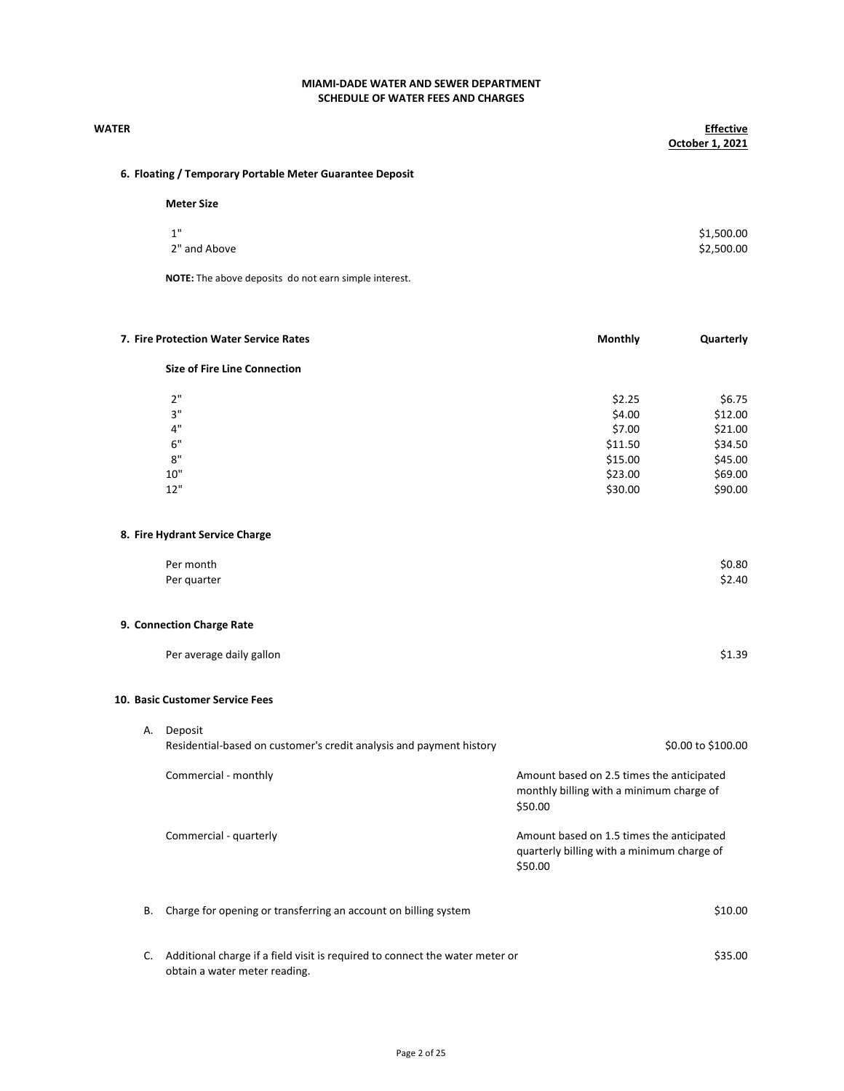| <b>WATER</b> |                                                                              |                                                                                                    | <b>Effective</b><br>October 1, 2021 |
|--------------|------------------------------------------------------------------------------|----------------------------------------------------------------------------------------------------|-------------------------------------|
|              | 6. Floating / Temporary Portable Meter Guarantee Deposit                     |                                                                                                    |                                     |
|              | <b>Meter Size</b>                                                            |                                                                                                    |                                     |
|              | 1"                                                                           |                                                                                                    | \$1,500.00                          |
|              | 2" and Above                                                                 |                                                                                                    | \$2,500.00                          |
|              |                                                                              |                                                                                                    |                                     |
|              | NOTE: The above deposits do not earn simple interest.                        |                                                                                                    |                                     |
|              | 7. Fire Protection Water Service Rates                                       | Monthly                                                                                            | Quarterly                           |
|              | <b>Size of Fire Line Connection</b>                                          |                                                                                                    |                                     |
|              |                                                                              |                                                                                                    |                                     |
|              | 2"                                                                           | \$2.25                                                                                             | \$6.75                              |
|              | 3"                                                                           | \$4.00                                                                                             | \$12.00                             |
|              | $4"$                                                                         | \$7.00                                                                                             | \$21.00                             |
|              | 6"                                                                           | \$11.50                                                                                            | \$34.50                             |
|              | 8"                                                                           | \$15.00                                                                                            | \$45.00                             |
|              | 10"                                                                          | \$23.00                                                                                            | \$69.00                             |
|              | 12"                                                                          | \$30.00                                                                                            | \$90.00                             |
|              | 8. Fire Hydrant Service Charge                                               |                                                                                                    |                                     |
|              | Per month                                                                    |                                                                                                    | \$0.80                              |
|              | Per quarter                                                                  |                                                                                                    | \$2.40                              |
|              | 9. Connection Charge Rate                                                    |                                                                                                    |                                     |
|              | Per average daily gallon                                                     |                                                                                                    | \$1.39                              |
|              | 10. Basic Customer Service Fees                                              |                                                                                                    |                                     |
|              |                                                                              |                                                                                                    |                                     |
|              | A. Deposit                                                                   |                                                                                                    |                                     |
|              | Residential-based on customer's credit analysis and payment history          |                                                                                                    | \$0.00 to \$100.00                  |
|              | Commercial - monthly                                                         | Amount based on 2.5 times the anticipated<br>monthly billing with a minimum charge of<br>\$50.00   |                                     |
|              | Commercial - quarterly                                                       | Amount based on 1.5 times the anticipated<br>quarterly billing with a minimum charge of<br>\$50.00 |                                     |
| В.           | Charge for opening or transferring an account on billing system              |                                                                                                    | \$10.00                             |
| C.           | Additional charge if a field visit is required to connect the water meter or |                                                                                                    | \$35.00                             |

obtain a water meter reading.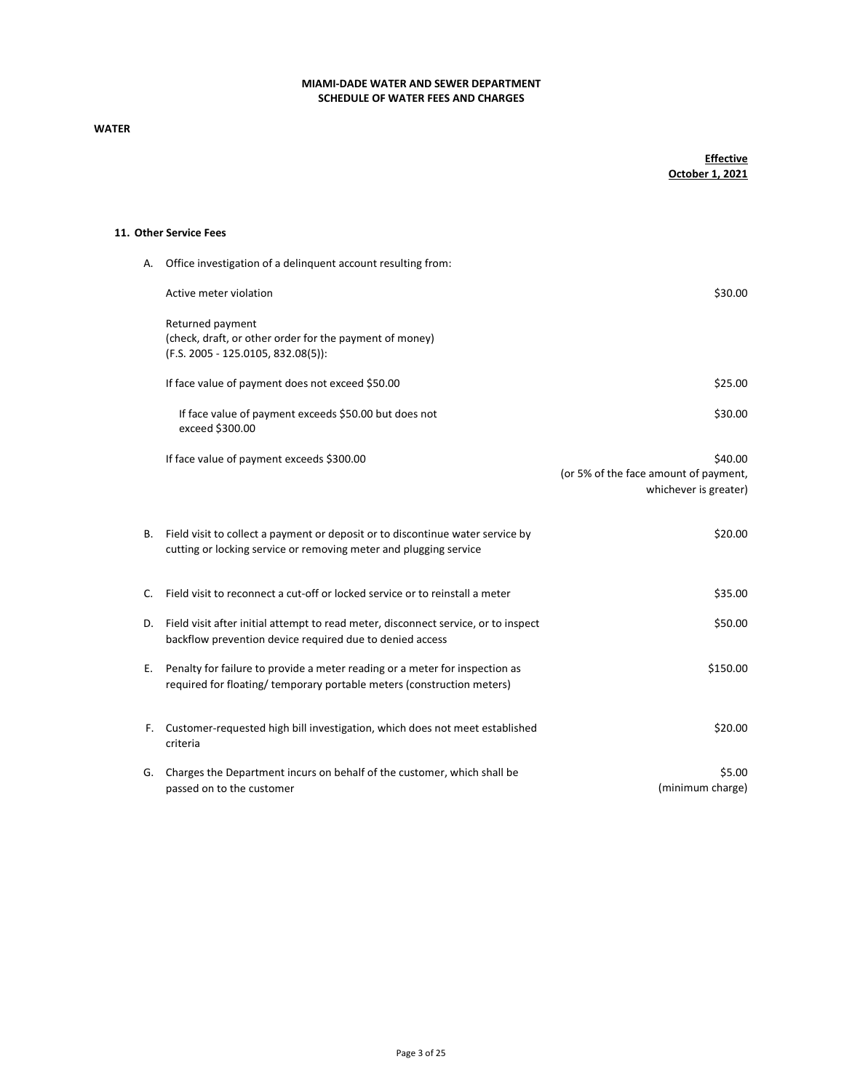# WATER

# **Effective** October 1, 2021

### 11. Other Service Fees

| А. | Office investigation of a delinquent account resulting from:                                                                                         |                                                                           |
|----|------------------------------------------------------------------------------------------------------------------------------------------------------|---------------------------------------------------------------------------|
|    | Active meter violation                                                                                                                               | \$30.00                                                                   |
|    | Returned payment<br>(check, draft, or other order for the payment of money)<br>(F.S. 2005 - 125.0105, 832.08(5)):                                    |                                                                           |
|    | If face value of payment does not exceed \$50.00                                                                                                     | \$25.00                                                                   |
|    | If face value of payment exceeds \$50.00 but does not<br>exceed \$300.00                                                                             | \$30.00                                                                   |
|    | If face value of payment exceeds \$300.00                                                                                                            | \$40.00<br>(or 5% of the face amount of payment,<br>whichever is greater) |
| В. | Field visit to collect a payment or deposit or to discontinue water service by<br>cutting or locking service or removing meter and plugging service  | \$20.00                                                                   |
| C. | Field visit to reconnect a cut-off or locked service or to reinstall a meter                                                                         | \$35.00                                                                   |
| D. | Field visit after initial attempt to read meter, disconnect service, or to inspect<br>backflow prevention device required due to denied access       | \$50.00                                                                   |
| Е. | Penalty for failure to provide a meter reading or a meter for inspection as<br>required for floating/temporary portable meters (construction meters) | \$150.00                                                                  |
| F. | Customer-requested high bill investigation, which does not meet established<br>criteria                                                              | \$20.00                                                                   |
| G. | Charges the Department incurs on behalf of the customer, which shall be<br>passed on to the customer                                                 | \$5.00<br>(minimum charge)                                                |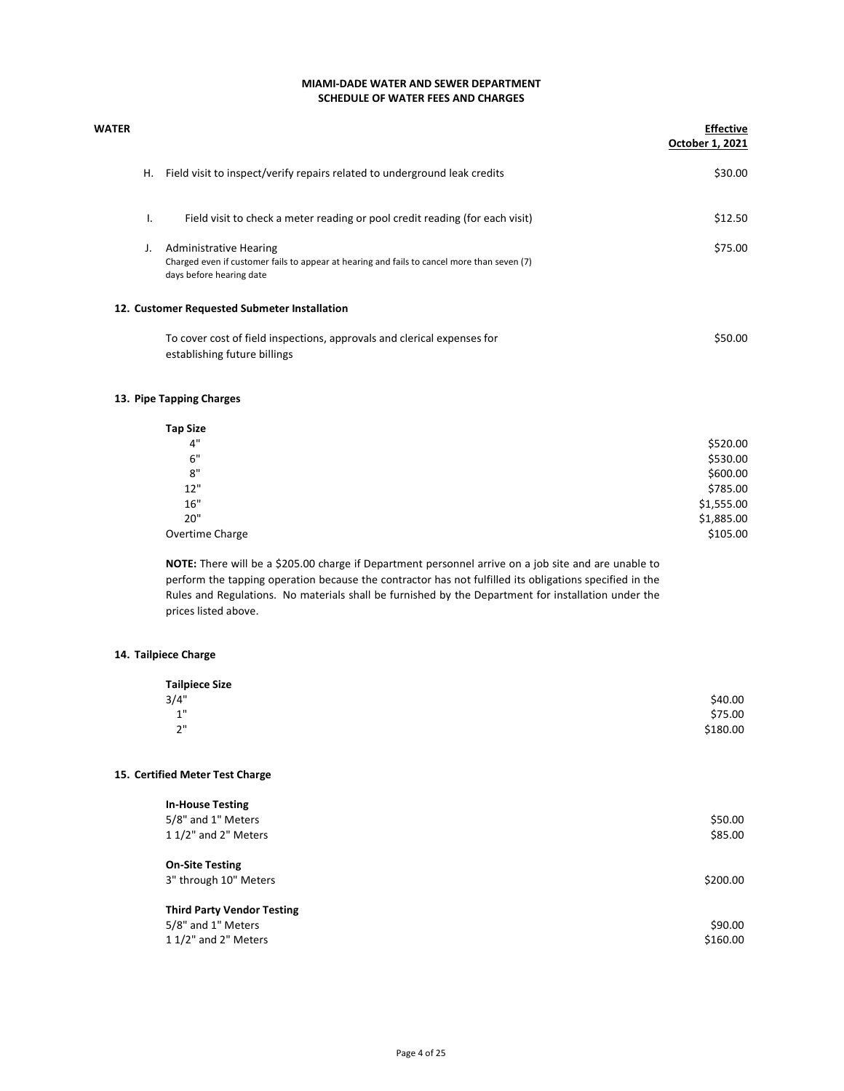# SCHEDULE OF WATER FEES AND CHARGES MIAMI-DADE WATER AND SEWER DEPARTMENT

| WATER |    |                                                                                                                                                   | <b>Effective</b><br>October 1, 2021 |
|-------|----|---------------------------------------------------------------------------------------------------------------------------------------------------|-------------------------------------|
|       | Η. | Field visit to inspect/verify repairs related to underground leak credits                                                                         | \$30.00                             |
|       | ı. | Field visit to check a meter reading or pool credit reading (for each visit)                                                                      | \$12.50                             |
|       | J. | Administrative Hearing<br>Charged even if customer fails to appear at hearing and fails to cancel more than seven (7)<br>days before hearing date | \$75.00                             |
|       |    | 12. Customer Requested Submeter Installation                                                                                                      |                                     |
|       |    | To cover cost of field inspections, approvals and clerical expenses for<br>establishing future billings                                           | \$50.00                             |

### 13. Pipe Tapping Charges

| <b>Tap Size</b> |            |
|-----------------|------------|
| 4"              | \$520.00   |
| 6"              | \$530.00   |
| 8"              | \$600.00   |
| 12"             | \$785.00   |
| 16"             | \$1,555.00 |
| 20"             | \$1,885.00 |
| Overtime Charge | \$105.00   |

NOTE: There will be a \$205.00 charge if Department personnel arrive on a job site and are unable to perform the tapping operation because the contractor has not fulfilled its obligations specified in the Rules and Regulations. No materials shall be furnished by the Department for installation under the prices listed above.

### 14. Tailpiece Charge

| <b>Tailpiece Size</b> |          |
|-----------------------|----------|
| 3/4"                  | \$40.00  |
| 1"<br>۰               | \$75.00  |
| 2"                    | \$180.00 |

### 15. Certified Meter Test Charge

| <b>In-House Testing</b><br>5/8" and 1" Meters<br>1 1/2" and 2" Meters           | \$50.00<br>\$85.00  |
|---------------------------------------------------------------------------------|---------------------|
| <b>On-Site Testing</b><br>3" through 10" Meters                                 | \$200.00            |
| <b>Third Party Vendor Testing</b><br>5/8" and 1" Meters<br>1 1/2" and 2" Meters | \$90.00<br>\$160.00 |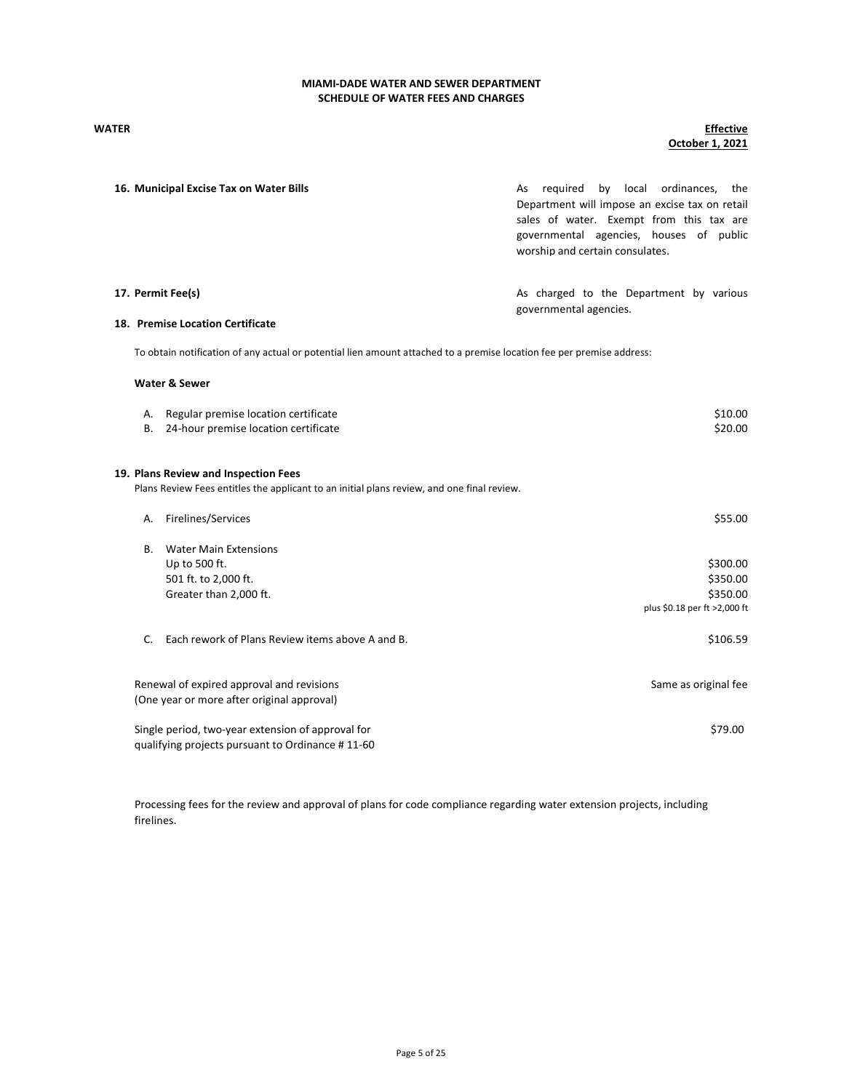### WATER Effective October 1, 2021

|           | 16. Municipal Excise Tax on Water Bills                                                                                            | reguired<br>by local ordinances,<br>As<br>the<br>Department will impose an excise tax on retail<br>sales of water. Exempt from this tax are<br>governmental agencies, houses of public<br>worship and certain consulates. |
|-----------|------------------------------------------------------------------------------------------------------------------------------------|---------------------------------------------------------------------------------------------------------------------------------------------------------------------------------------------------------------------------|
|           | 17. Permit Fee(s)                                                                                                                  | As charged to the Department by various<br>governmental agencies.                                                                                                                                                         |
|           | 18. Premise Location Certificate                                                                                                   |                                                                                                                                                                                                                           |
|           | To obtain notification of any actual or potential lien amount attached to a premise location fee per premise address:              |                                                                                                                                                                                                                           |
|           | <b>Water &amp; Sewer</b>                                                                                                           |                                                                                                                                                                                                                           |
| А.        | Regular premise location certificate                                                                                               | \$10.00                                                                                                                                                                                                                   |
| В.        | 24-hour premise location certificate                                                                                               | \$20.00                                                                                                                                                                                                                   |
|           | 19. Plans Review and Inspection Fees<br>Plans Review Fees entitles the applicant to an initial plans review, and one final review. |                                                                                                                                                                                                                           |
| А.        | Firelines/Services                                                                                                                 | \$55.00                                                                                                                                                                                                                   |
| <b>B.</b> | <b>Water Main Extensions</b>                                                                                                       |                                                                                                                                                                                                                           |
|           | Up to 500 ft.                                                                                                                      | \$300.00                                                                                                                                                                                                                  |
|           | 501 ft. to 2,000 ft.                                                                                                               | \$350.00                                                                                                                                                                                                                  |
|           | Greater than 2,000 ft.                                                                                                             | \$350.00                                                                                                                                                                                                                  |
|           |                                                                                                                                    | plus \$0.18 per ft >2,000 ft                                                                                                                                                                                              |
| C.        | Each rework of Plans Review items above A and B.                                                                                   | \$106.59                                                                                                                                                                                                                  |
|           | Renewal of expired approval and revisions<br>(One year or more after original approval)                                            | Same as original fee                                                                                                                                                                                                      |
|           | Single period, two-year extension of approval for<br>qualifying projects pursuant to Ordinance #11-60                              | \$79.00                                                                                                                                                                                                                   |

Processing fees for the review and approval of plans for code compliance regarding water extension projects, including firelines.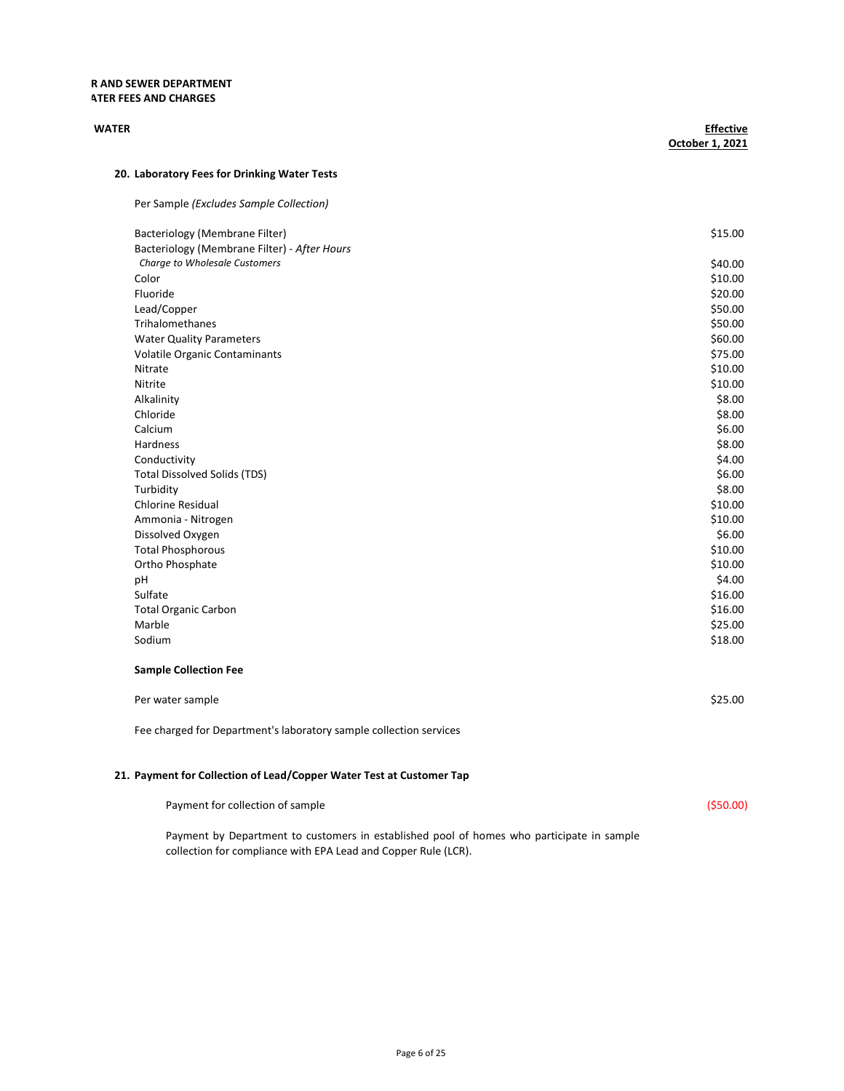### R AND SEWER DEPARTMENT **ATER FEES AND CHARGES**

| <b>WATER</b>                                 | <b>Effective</b><br>October 1, 2021 |
|----------------------------------------------|-------------------------------------|
| 20. Laboratory Fees for Drinking Water Tests |                                     |
| Per Sample (Excludes Sample Collection)      |                                     |
| Bacteriology (Membrane Filter)               | \$15.00                             |
| Bacteriology (Membrane Filter) - After Hours |                                     |
| Charge to Wholesale Customers                | \$40.00                             |
| Color                                        | \$10.00                             |
| Fluoride                                     | \$20.00                             |
| Lead/Copper                                  | \$50.00                             |
| Trihalomethanes                              | \$50.00                             |
| <b>Water Quality Parameters</b>              | \$60.00                             |
| Volatile Organic Contaminants                | \$75.00                             |
| Nitrate                                      | \$10.00                             |
| Nitrite                                      | \$10.00                             |
| Alkalinity                                   | \$8.00                              |
| Chloride                                     | \$8.00                              |
| Calcium                                      | \$6.00                              |
| Hardness                                     | \$8.00                              |
| Conductivity                                 | \$4.00                              |
| <b>Total Dissolved Solids (TDS)</b>          | \$6.00                              |
| Turbidity                                    | \$8.00                              |
| <b>Chlorine Residual</b>                     | \$10.00                             |
| Ammonia - Nitrogen                           | \$10.00                             |
| Dissolved Oxygen                             | \$6.00                              |
| <b>Total Phosphorous</b>                     | \$10.00                             |
| Ortho Phosphate                              | \$10.00                             |
| pH                                           | \$4.00                              |
| Sulfate                                      | \$16.00                             |
| <b>Total Organic Carbon</b>                  | \$16.00                             |
| Marble                                       | \$25.00                             |
| Sodium                                       | \$18.00                             |

| \$25.00 |
|---------|
|         |

Fee charged for Department's laboratory sample collection services

# 21. Payment for Collection of Lead/Copper Water Test at Customer Tap

Payment for collection of sample (\$50.00)

Payment by Department to customers in established pool of homes who participate in sample collection for compliance with EPA Lead and Copper Rule (LCR).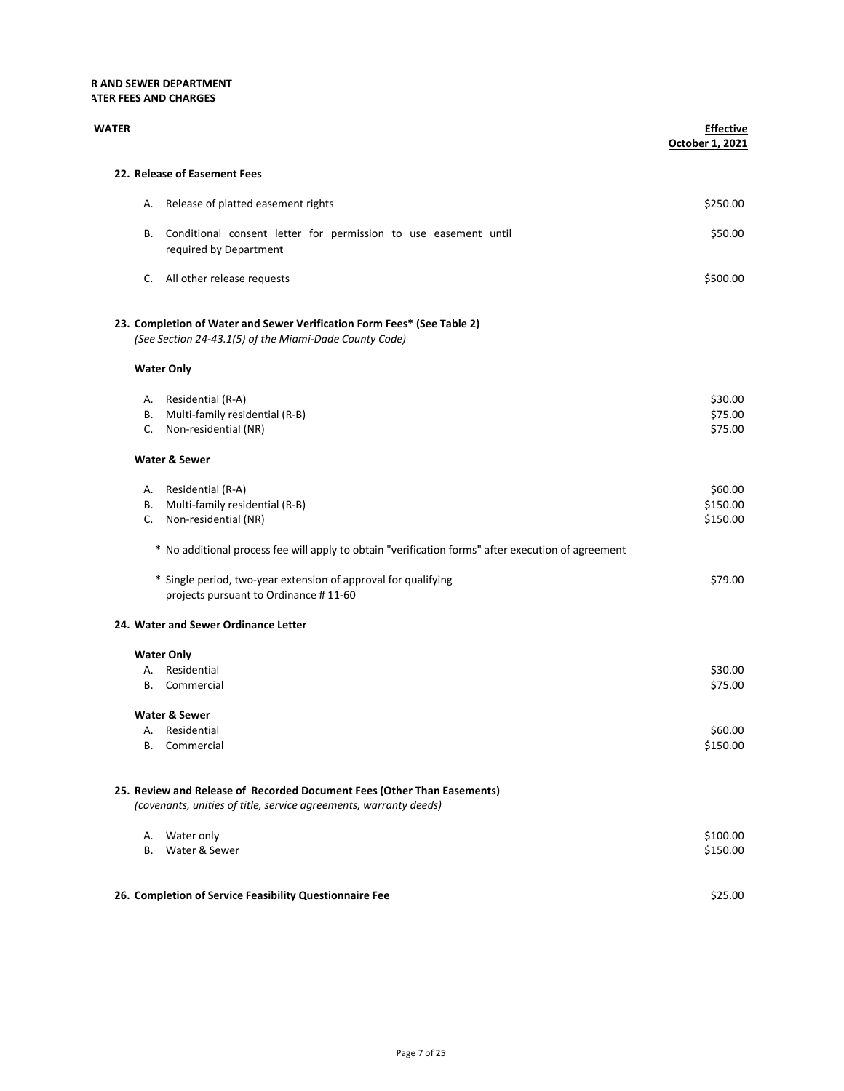## R AND SEWER DEPARTMENT **ATER FEES AND CHARGES**

| WATER |                                                                                                                                              | <b>Effective</b><br>October 1, 2021 |
|-------|----------------------------------------------------------------------------------------------------------------------------------------------|-------------------------------------|
|       | 22. Release of Easement Fees                                                                                                                 |                                     |
|       | Release of platted easement rights<br>А.                                                                                                     | \$250.00                            |
|       | Conditional consent letter for permission to use easement until<br>В.<br>required by Department                                              | \$50.00                             |
|       | All other release requests<br>C.                                                                                                             | \$500.00                            |
|       | 23. Completion of Water and Sewer Verification Form Fees* (See Table 2)<br>(See Section 24-43.1(5) of the Miami-Dade County Code)            |                                     |
|       | <b>Water Only</b>                                                                                                                            |                                     |
|       | A. Residential (R-A)<br>Multi-family residential (R-B)<br>В.<br>Non-residential (NR)<br>C.                                                   | \$30.00<br>\$75.00<br>\$75.00       |
|       | <b>Water &amp; Sewer</b>                                                                                                                     |                                     |
|       | A. Residential (R-A)<br>Multi-family residential (R-B)<br>В.<br>C. Non-residential (NR)                                                      | \$60.00<br>\$150.00<br>\$150.00     |
|       | * No additional process fee will apply to obtain "verification forms" after execution of agreement                                           |                                     |
|       | * Single period, two-year extension of approval for qualifying<br>projects pursuant to Ordinance #11-60                                      | \$79.00                             |
|       | 24. Water and Sewer Ordinance Letter                                                                                                         |                                     |
|       | <b>Water Only</b><br>A. Residential<br>Commercial<br><b>B.</b>                                                                               | \$30.00<br>\$75.00                  |
|       | <b>Water &amp; Sewer</b><br>A. Residential<br>B. Commercial                                                                                  | \$60.00<br>\$150.00                 |
|       | 25. Review and Release of Recorded Document Fees (Other Than Easements)<br>(covenants, unities of title, service agreements, warranty deeds) |                                     |
|       | A. Water only<br>B. Water & Sewer                                                                                                            | \$100.00<br>\$150.00                |
|       | 26. Completion of Service Feasibility Questionnaire Fee                                                                                      | \$25.00                             |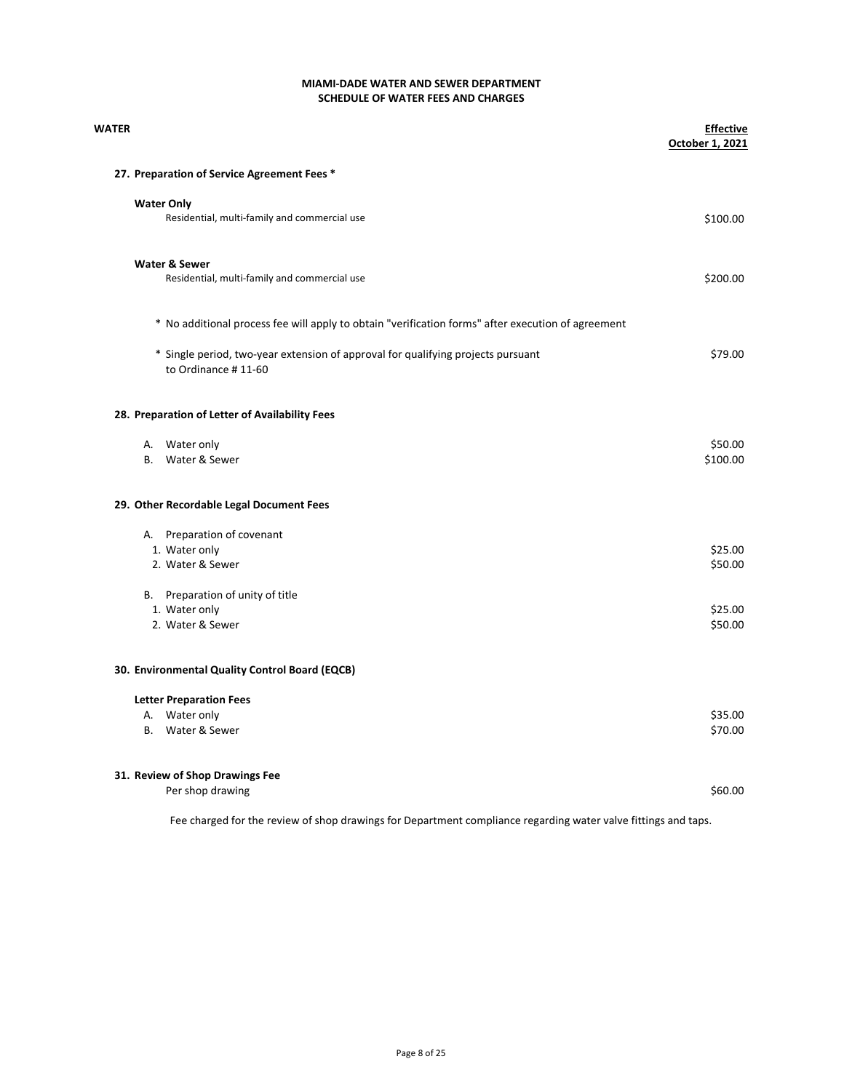| WATER |                                                                                                         | <b>Effective</b><br>October 1, 2021 |
|-------|---------------------------------------------------------------------------------------------------------|-------------------------------------|
|       | 27. Preparation of Service Agreement Fees *                                                             |                                     |
|       | <b>Water Only</b>                                                                                       |                                     |
|       | Residential, multi-family and commercial use                                                            | \$100.00                            |
|       | Water & Sewer                                                                                           |                                     |
|       | Residential, multi-family and commercial use                                                            | \$200.00                            |
|       | * No additional process fee will apply to obtain "verification forms" after execution of agreement      |                                     |
|       | * Single period, two-year extension of approval for qualifying projects pursuant<br>to Ordinance #11-60 | \$79.00                             |
|       | 28. Preparation of Letter of Availability Fees                                                          |                                     |
|       | A. Water only                                                                                           | \$50.00                             |
|       | B. Water & Sewer                                                                                        | \$100.00                            |
|       | 29. Other Recordable Legal Document Fees                                                                |                                     |
|       | A. Preparation of covenant                                                                              |                                     |
|       | 1. Water only                                                                                           | \$25.00                             |
|       | 2. Water & Sewer                                                                                        | \$50.00                             |
|       | B. Preparation of unity of title                                                                        |                                     |
|       | 1. Water only                                                                                           | \$25.00                             |
|       | 2. Water & Sewer                                                                                        | \$50.00                             |
|       | 30. Environmental Quality Control Board (EQCB)                                                          |                                     |
|       | <b>Letter Preparation Fees</b>                                                                          |                                     |
|       | A. Water only                                                                                           | \$35.00                             |
|       | B. Water & Sewer                                                                                        | \$70.00                             |
|       | 31. Review of Shop Drawings Fee                                                                         |                                     |
|       | Per shop drawing                                                                                        | \$60.00                             |

Fee charged for the review of shop drawings for Department compliance regarding water valve fittings and taps.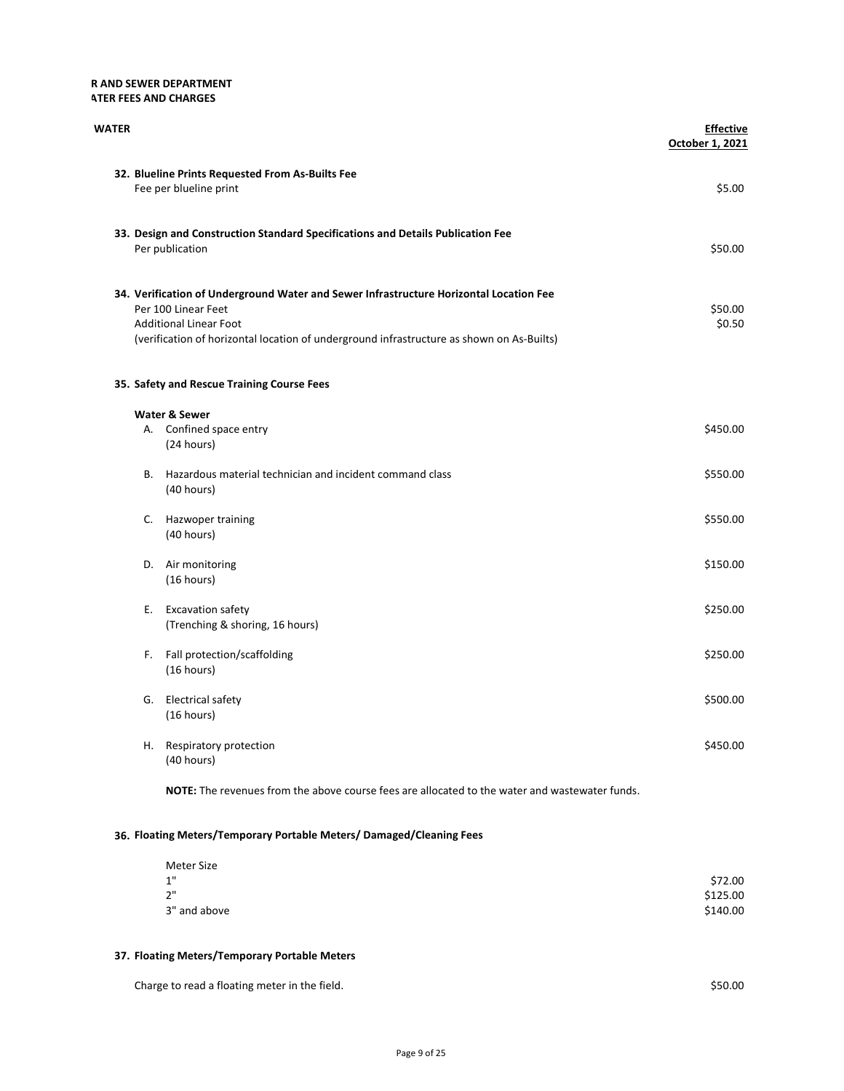## R AND SEWER DEPARTMENT **ATER FEES AND CHARGES**

| WATER |    |                                                                                                                                                                                                                                             | <b>Effective</b><br>October 1, 2021 |
|-------|----|---------------------------------------------------------------------------------------------------------------------------------------------------------------------------------------------------------------------------------------------|-------------------------------------|
|       |    | 32. Blueline Prints Requested From As-Builts Fee<br>Fee per blueline print                                                                                                                                                                  | \$5.00                              |
|       |    | 33. Design and Construction Standard Specifications and Details Publication Fee<br>Per publication                                                                                                                                          | \$50.00                             |
|       |    | 34. Verification of Underground Water and Sewer Infrastructure Horizontal Location Fee<br>Per 100 Linear Feet<br><b>Additional Linear Foot</b><br>(verification of horizontal location of underground infrastructure as shown on As-Builts) | \$50.00<br>\$0.50                   |
|       |    | 35. Safety and Rescue Training Course Fees                                                                                                                                                                                                  |                                     |
|       |    | Water & Sewer<br>A. Confined space entry<br>(24 hours)                                                                                                                                                                                      | \$450.00                            |
|       |    | B. Hazardous material technician and incident command class<br>(40 hours)                                                                                                                                                                   | \$550.00                            |
|       |    | C. Hazwoper training<br>(40 hours)                                                                                                                                                                                                          | \$550.00                            |
|       |    | D. Air monitoring<br>(16 hours)                                                                                                                                                                                                             | \$150.00                            |
|       | Е. | <b>Excavation safety</b><br>(Trenching & shoring, 16 hours)                                                                                                                                                                                 | \$250.00                            |
|       | F. | Fall protection/scaffolding<br>(16 hours)                                                                                                                                                                                                   | \$250.00                            |
|       |    | G. Electrical safety<br>(16 hours)                                                                                                                                                                                                          | \$500.00                            |
|       |    | H. Respiratory protection<br>(40 hours)                                                                                                                                                                                                     | \$450.00                            |
|       |    |                                                                                                                                                                                                                                             |                                     |

NOTE: The revenues from the above course fees are allocated to the water and wastewater funds.

# 36. Floating Meters/Temporary Portable Meters/ Damaged/Cleaning Fees

| Meter Size   |          |
|--------------|----------|
| 1"           | \$72.00  |
| 2"           | \$125.00 |
| 3" and above | \$140.00 |

## 37. Floating Meters/Temporary Portable Meters

| Charge to read a floating meter in the field. | \$50.00 |
|-----------------------------------------------|---------|
|                                               |         |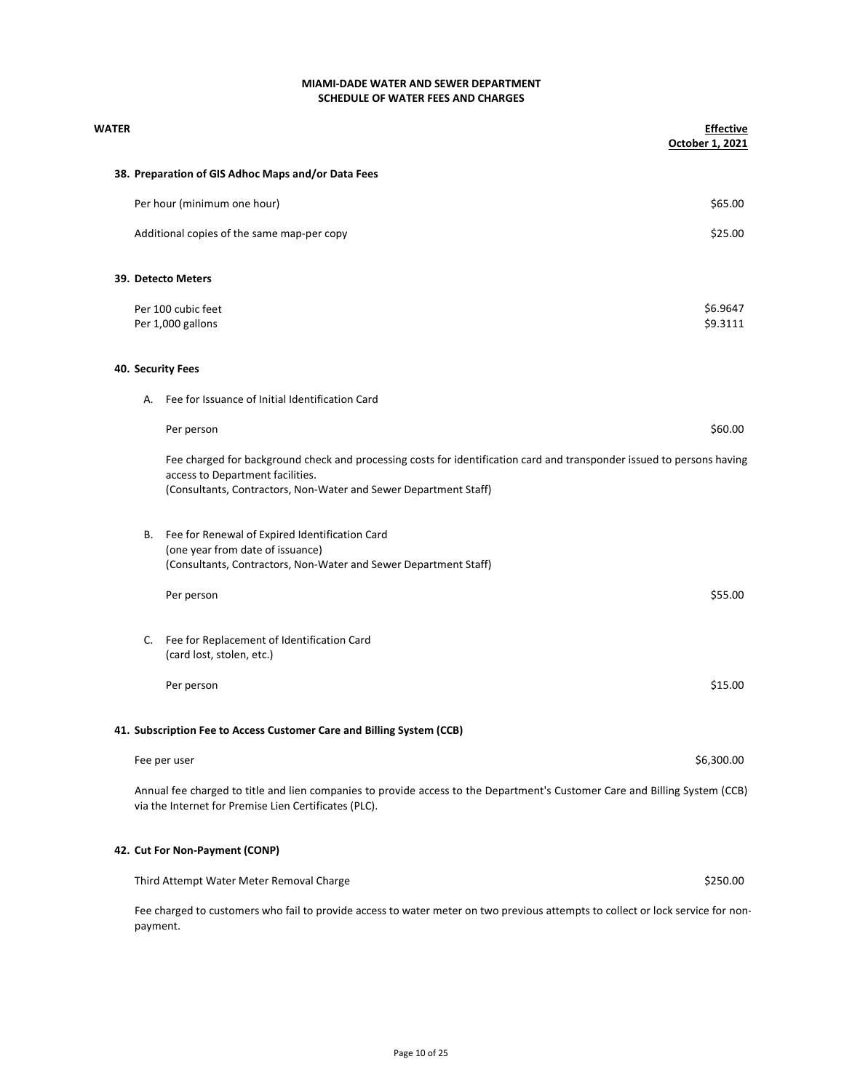| WATER |          |                                                                                                                                                                                                                                | <b>Effective</b><br>October 1, 2021 |
|-------|----------|--------------------------------------------------------------------------------------------------------------------------------------------------------------------------------------------------------------------------------|-------------------------------------|
|       |          | 38. Preparation of GIS Adhoc Maps and/or Data Fees                                                                                                                                                                             |                                     |
|       |          | Per hour (minimum one hour)                                                                                                                                                                                                    | \$65.00                             |
|       |          | Additional copies of the same map-per copy                                                                                                                                                                                     | \$25.00                             |
|       |          | 39. Detecto Meters                                                                                                                                                                                                             |                                     |
|       |          | Per 100 cubic feet                                                                                                                                                                                                             | \$6.9647                            |
|       |          | Per 1,000 gallons                                                                                                                                                                                                              | \$9.3111                            |
|       |          | 40. Security Fees                                                                                                                                                                                                              |                                     |
|       | А.       | Fee for Issuance of Initial Identification Card                                                                                                                                                                                |                                     |
|       |          | Per person                                                                                                                                                                                                                     | \$60.00                             |
|       |          | Fee charged for background check and processing costs for identification card and transponder issued to persons having<br>access to Department facilities.<br>(Consultants, Contractors, Non-Water and Sewer Department Staff) |                                     |
|       | В.       | Fee for Renewal of Expired Identification Card<br>(one year from date of issuance)<br>(Consultants, Contractors, Non-Water and Sewer Department Staff)                                                                         |                                     |
|       |          | Per person                                                                                                                                                                                                                     | \$55.00                             |
|       | C.       | Fee for Replacement of Identification Card<br>(card lost, stolen, etc.)                                                                                                                                                        |                                     |
|       |          | Per person                                                                                                                                                                                                                     | \$15.00                             |
|       |          | 41. Subscription Fee to Access Customer Care and Billing System (CCB)                                                                                                                                                          |                                     |
|       |          | Fee per user                                                                                                                                                                                                                   | \$6,300.00                          |
|       |          | Annual fee charged to title and lien companies to provide access to the Department's Customer Care and Billing System (CCB)<br>via the Internet for Premise Lien Certificates (PLC).                                           |                                     |
|       |          | 42. Cut For Non-Payment (CONP)                                                                                                                                                                                                 |                                     |
|       |          | Third Attempt Water Meter Removal Charge                                                                                                                                                                                       | \$250.00                            |
|       | payment. | Fee charged to customers who fail to provide access to water meter on two previous attempts to collect or lock service for non-                                                                                                |                                     |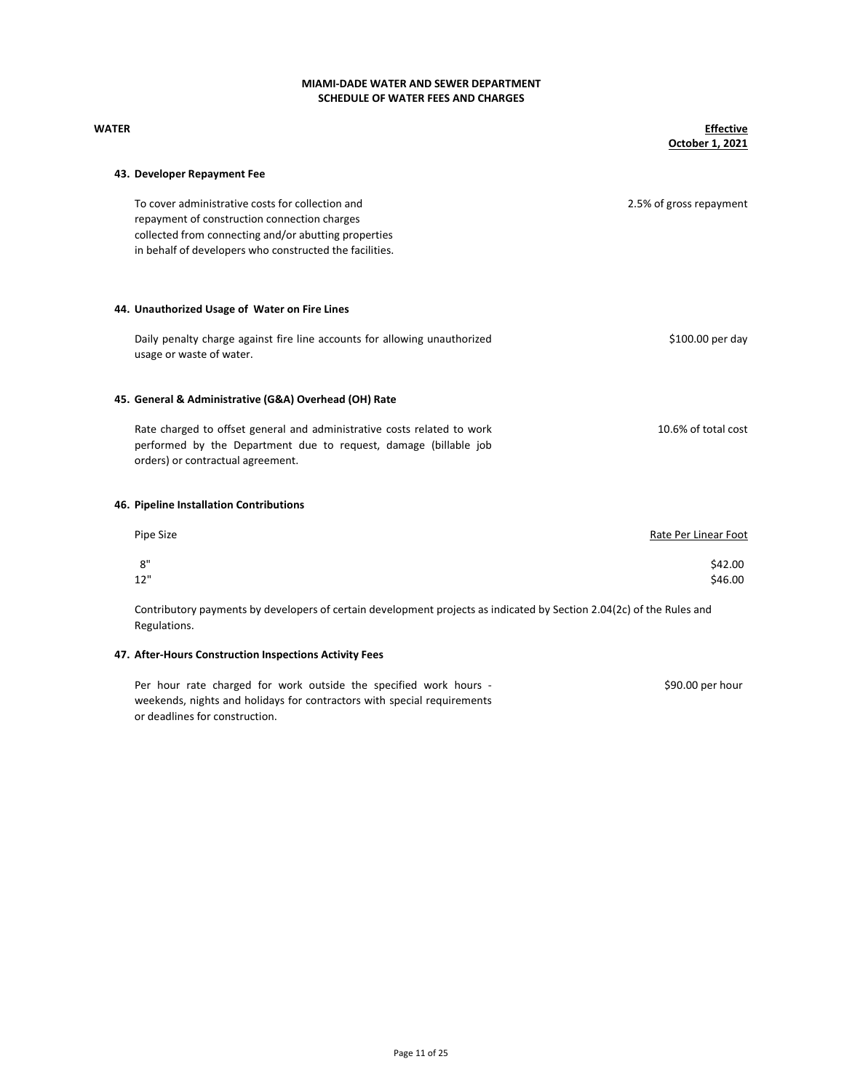# SCHEDULE OF WATER FEES AND CHARGES MIAMI-DADE WATER AND SEWER DEPARTMENT

| WATER |                                                                                                                                                                                                                     | <b>Effective</b><br>October 1, 2021 |
|-------|---------------------------------------------------------------------------------------------------------------------------------------------------------------------------------------------------------------------|-------------------------------------|
|       | 43. Developer Repayment Fee                                                                                                                                                                                         |                                     |
|       | To cover administrative costs for collection and<br>repayment of construction connection charges<br>collected from connecting and/or abutting properties<br>in behalf of developers who constructed the facilities. | 2.5% of gross repayment             |
|       | 44. Unauthorized Usage of Water on Fire Lines                                                                                                                                                                       |                                     |
|       | Daily penalty charge against fire line accounts for allowing unauthorized<br>usage or waste of water.                                                                                                               | \$100.00 per day                    |
|       | 45. General & Administrative (G&A) Overhead (OH) Rate                                                                                                                                                               |                                     |
|       | Rate charged to offset general and administrative costs related to work<br>performed by the Department due to request, damage (billable job<br>orders) or contractual agreement.                                    | 10.6% of total cost                 |
|       | 46. Pipeline Installation Contributions                                                                                                                                                                             |                                     |
|       | Pipe Size                                                                                                                                                                                                           | Rate Per Linear Foot                |
|       | 8"<br>12"                                                                                                                                                                                                           | \$42.00<br>\$46.00                  |
|       | Contributory nayments by developers of certain development projects as indicated by Section 2012c) of the Rules and                                                                                                 |                                     |

Contributory payments by developers of certain development projects as indicated by Section 2.04(2c) of the Rules and Regulations.

## 47. After-Hours Construction Inspections Activity Fees

\$90.00 per hour Per hour rate charged for work outside the specified work hours weekends, nights and holidays for contractors with special requirements or deadlines for construction.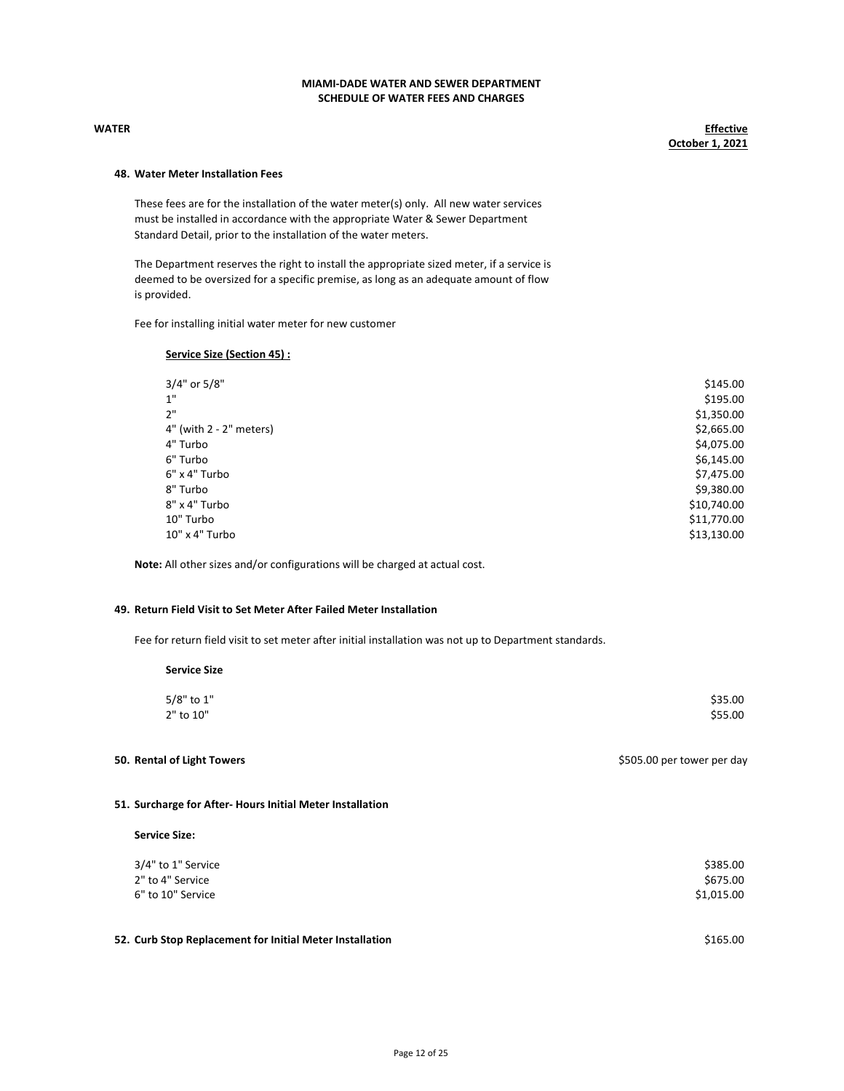WATER Effective October 1, 2021

### 48. Water Meter Installation Fees

These fees are for the installation of the water meter(s) only. All new water services must be installed in accordance with the appropriate Water & Sewer Department Standard Detail, prior to the installation of the water meters.

The Department reserves the right to install the appropriate sized meter, if a service is deemed to be oversized for a specific premise, as long as an adequate amount of flow is provided.

Fee for installing initial water meter for new customer

### Service Size (Section 45) :

| 3/4" or 5/8"            | \$145.00    |
|-------------------------|-------------|
| 1"                      | \$195.00    |
| 2"                      | \$1,350.00  |
| 4" (with 2 - 2" meters) | \$2,665.00  |
| 4" Turbo                | \$4,075.00  |
| 6" Turbo                | \$6,145.00  |
| 6" x 4" Turbo           | \$7,475.00  |
| 8" Turbo                | \$9,380.00  |
| 8" x 4" Turbo           | \$10,740.00 |
| 10" Turbo               | \$11,770.00 |
| 10" x 4" Turbo          | \$13,130.00 |

Note: All other sizes and/or configurations will be charged at actual cost.

### 49. Return Field Visit to Set Meter After Failed Meter Installation

Fee for return field visit to set meter after initial installation was not up to Department standards.

| <b>Service Size</b>     |                    |
|-------------------------|--------------------|
| 5/8" to 1"<br>2" to 10" | \$35.00<br>\$55.00 |

50. Rental of Light Towers **1998** by the set of the set of the set of the set of the set of the set of the set of the set of the set of the set of the set of the set of the set of the set of the set of the set of the set o

### 51. Surcharge for After- Hours Initial Meter Installation

### Service Size:

| 3/4" to 1" Service | \$385.00   |
|--------------------|------------|
| 2" to 4" Service   | \$675.00   |
| 6" to 10" Service  | \$1,015.00 |
|                    |            |
|                    |            |

# 52. Curb Stop Replacement for Initial Meter Installation **\$165.00** \$165.00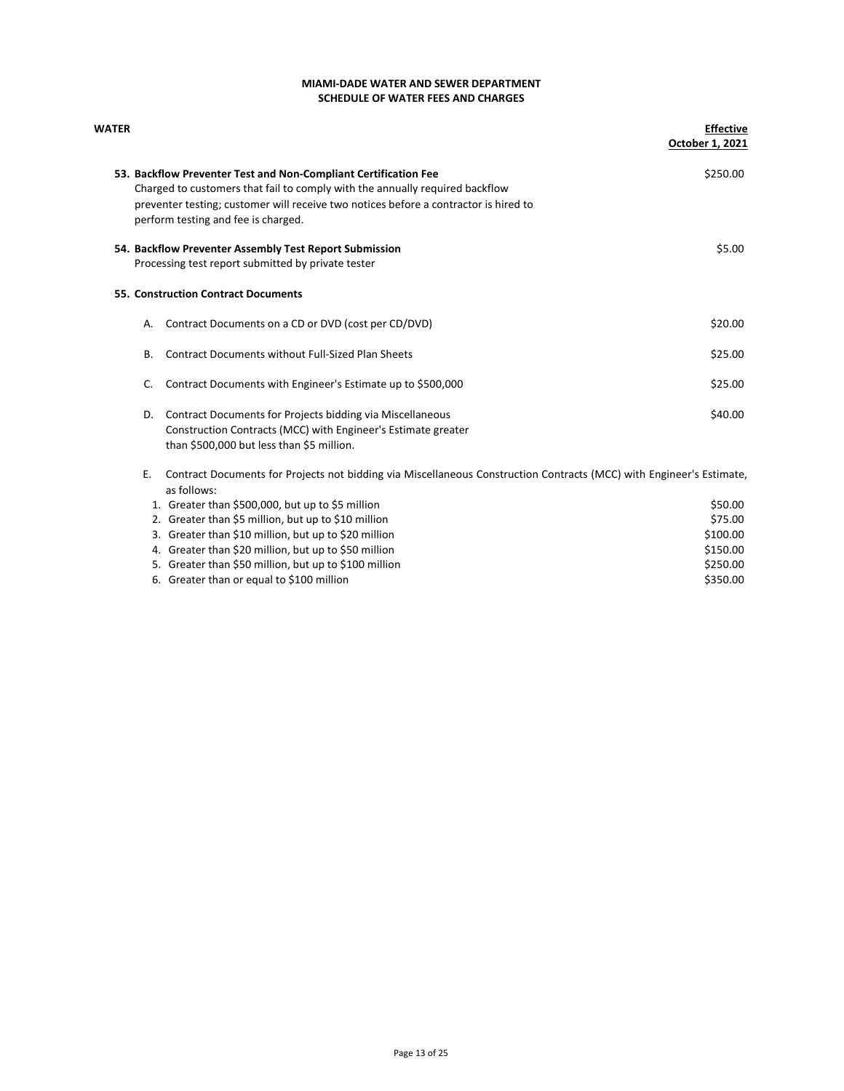| WATER |    |                                                                                                                                     | <b>Effective</b> |
|-------|----|-------------------------------------------------------------------------------------------------------------------------------------|------------------|
|       |    |                                                                                                                                     | October 1, 2021  |
|       |    | 53. Backflow Preventer Test and Non-Compliant Certification Fee                                                                     | \$250.00         |
|       |    | Charged to customers that fail to comply with the annually required backflow                                                        |                  |
|       |    | preventer testing; customer will receive two notices before a contractor is hired to                                                |                  |
|       |    | perform testing and fee is charged.                                                                                                 |                  |
|       |    | 54. Backflow Preventer Assembly Test Report Submission                                                                              | \$5.00           |
|       |    | Processing test report submitted by private tester                                                                                  |                  |
|       |    | 55. Construction Contract Documents                                                                                                 |                  |
|       | А. | Contract Documents on a CD or DVD (cost per CD/DVD)                                                                                 | \$20.00          |
|       | В. | <b>Contract Documents without Full-Sized Plan Sheets</b>                                                                            | \$25.00          |
|       | C. | Contract Documents with Engineer's Estimate up to \$500,000                                                                         | \$25.00          |
|       | D. | Contract Documents for Projects bidding via Miscellaneous                                                                           | \$40.00          |
|       |    | Construction Contracts (MCC) with Engineer's Estimate greater                                                                       |                  |
|       |    | than \$500,000 but less than \$5 million.                                                                                           |                  |
|       | Ε. | Contract Documents for Projects not bidding via Miscellaneous Construction Contracts (MCC) with Engineer's Estimate,<br>as follows: |                  |
|       |    | 1. Greater than \$500,000, but up to \$5 million                                                                                    | \$50.00          |
|       |    | 2. Greater than \$5 million, but up to \$10 million                                                                                 | \$75.00          |
|       |    | 3. Greater than \$10 million, but up to \$20 million                                                                                | \$100.00         |
|       |    | 4. Greater than \$20 million, but up to \$50 million                                                                                | \$150.00         |
|       |    | 5. Greater than \$50 million, but up to \$100 million                                                                               | \$250.00         |

6. Greater than or equal to \$100 million \$350.00 \$350.00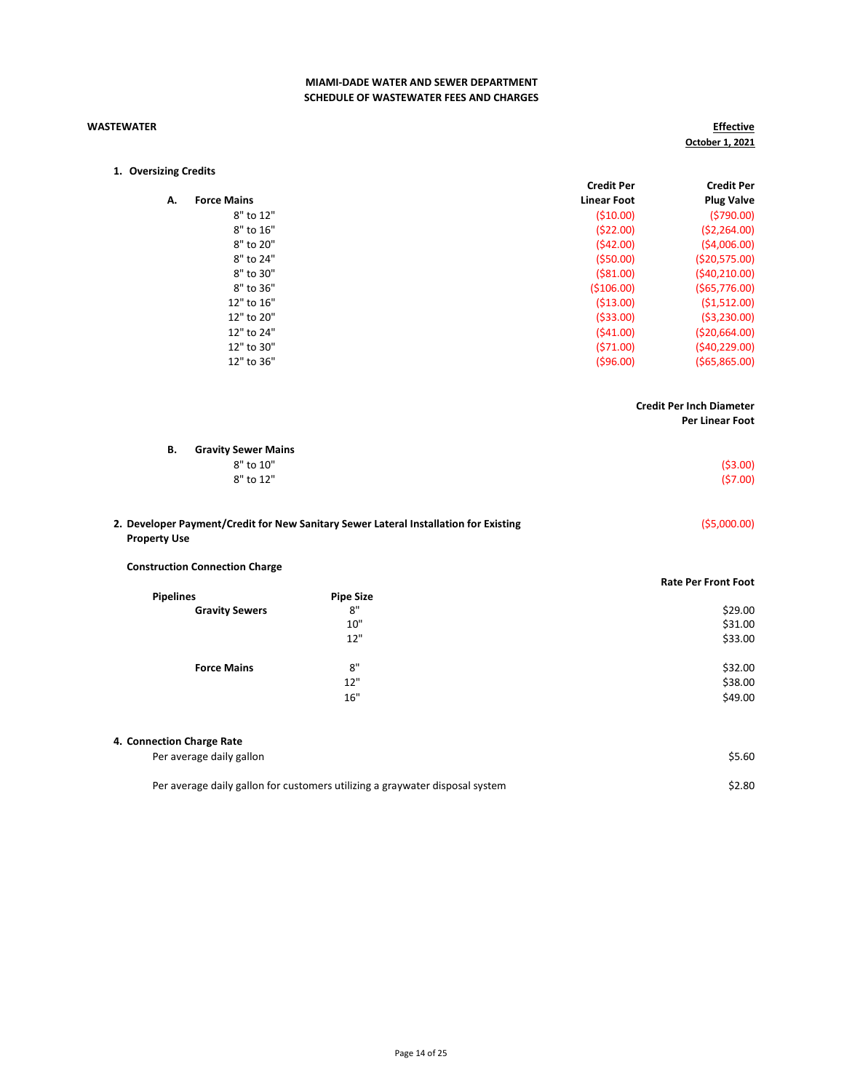### WASTEWATER

**Effective** October 1, 2021

| 1. Oversizing Credits |  |  |
|-----------------------|--|--|
|-----------------------|--|--|

|    |                    | <b>Credit Per</b>  | <b>Credit Per</b> |
|----|--------------------|--------------------|-------------------|
| А. | <b>Force Mains</b> | <b>Linear Foot</b> | <b>Plug Valve</b> |
|    | 8" to 12"          | (510.00)           | (5790.00)         |
|    | 8" to 16"          | (522.00)           | (52, 264.00)      |
|    | 8" to 20"          | (542.00)           | (54,006.00)       |
|    | 8" to 24"          | (550.00)           | ( \$20,575.00)    |
|    | 8" to 30"          | ( \$81.00)         | (540, 210.00)     |
|    | 8" to 36"          | ( \$106.00)        | (565,776.00)      |
|    | 12" to 16"         | (513.00)           | (51,512.00)       |
|    | 12" to 20"         | ( \$33.00)         | (53,230.00)       |
|    | 12" to 24"         | (541.00)           | ( \$20,664.00)    |
|    | 12" to 30"         | (571.00)           | (540, 229.00)     |
|    | 12" to 36"         | (596.00)           | (565,865.00)      |
|    |                    |                    |                   |

## Credit Per Inch Diameter

Per Linear Foot

| В. | <b>Gravity Sewer Mains</b> |           |
|----|----------------------------|-----------|
|    | 8" to 10"                  | ( \$3.00) |
|    | 8" to 12"                  | (57.00)   |
|    |                            |           |
|    |                            |           |

| 2. Developer Payment/Credit for New Sanitary Sewer Lateral Installation for Existing | (55,000.00) |
|--------------------------------------------------------------------------------------|-------------|
| <b>Property Use</b>                                                                  |             |

### Construction Connection Charge

|                       |                  | <b>Rate Per Front Foot</b> |
|-----------------------|------------------|----------------------------|
| <b>Pipelines</b>      | <b>Pipe Size</b> |                            |
| <b>Gravity Sewers</b> | 8"               | \$29.00                    |
|                       | 10"              | \$31.00                    |
|                       | 12"              | \$33.00                    |
| <b>Force Mains</b>    | 8"               | \$32.00                    |
|                       | 12"              | \$38.00                    |
|                       | 16"              | \$49.00                    |
|                       |                  |                            |

| 4. Connection Charge Rate                                                    |        |
|------------------------------------------------------------------------------|--------|
| Per average daily gallon                                                     | \$5.60 |
| Per average daily gallon for customers utilizing a graywater disposal system | \$2.80 |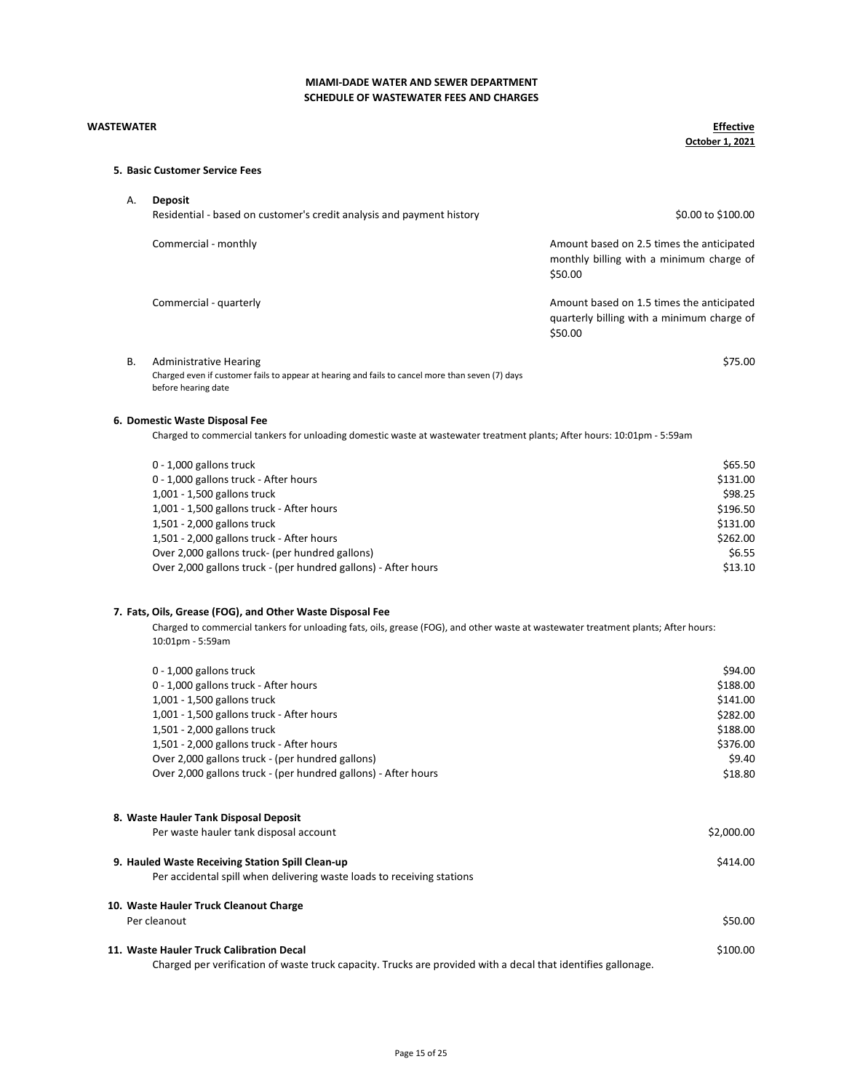### WASTEWATER

**Effective** October 1, 2021

## 5. Basic Customer Service Fees

| Α.        | <b>Deposit</b><br>Residential - based on customer's credit analysis and payment history                                                                                                                                  | \$0.00 to \$100.00                                                                                 |
|-----------|--------------------------------------------------------------------------------------------------------------------------------------------------------------------------------------------------------------------------|----------------------------------------------------------------------------------------------------|
|           | Commercial - monthly                                                                                                                                                                                                     | Amount based on 2.5 times the anticipated<br>monthly billing with a minimum charge of<br>\$50.00   |
|           | Commercial - quarterly                                                                                                                                                                                                   | Amount based on 1.5 times the anticipated<br>quarterly billing with a minimum charge of<br>\$50.00 |
| <b>B.</b> | <b>Administrative Hearing</b><br>Charged even if customer fails to appear at hearing and fails to cancel more than seven (7) days<br>before hearing date                                                                 | \$75.00                                                                                            |
|           | 6. Domestic Waste Disposal Fee                                                                                                                                                                                           |                                                                                                    |
|           | Charged to commercial tankers for unloading domestic waste at wastewater treatment plants; After hours: 10:01pm - 5:59am                                                                                                 |                                                                                                    |
|           | 0 - 1,000 gallons truck<br>0 - 1,000 gallons truck - After hours<br>1,001 - 1,500 gallons truck<br>1,001 - 1,500 gallons truck - After hours<br>1,501 - 2,000 gallons truck<br>1,501 - 2,000 gallons truck - After hours | \$65.50<br>\$131.00<br>\$98.25<br>\$196.50<br>\$131.00<br>\$262.00                                 |
|           | Over 2,000 gallons truck- (per hundred gallons)                                                                                                                                                                          | \$6.55                                                                                             |

### 7. Fats, Oils, Grease (FOG), and Other Waste Disposal Fee

Charged to commercial tankers for unloading fats, oils, grease (FOG), and other waste at wastewater treatment plants; After hours: 10:01pm - 5:59am

Over 2,000 gallons truck - (per hundred gallons) - After hours \$13.10

| \$94.00    |
|------------|
| \$188.00   |
| \$141.00   |
| \$282.00   |
| \$188.00   |
| \$376.00   |
| \$9.40     |
| \$18.80    |
|            |
| \$2,000.00 |
| \$414.00   |
|            |
|            |
| \$50.00    |
| \$100.00   |
|            |

Charged per verification of waste truck capacity. Trucks are provided with a decal that identifies gallonage.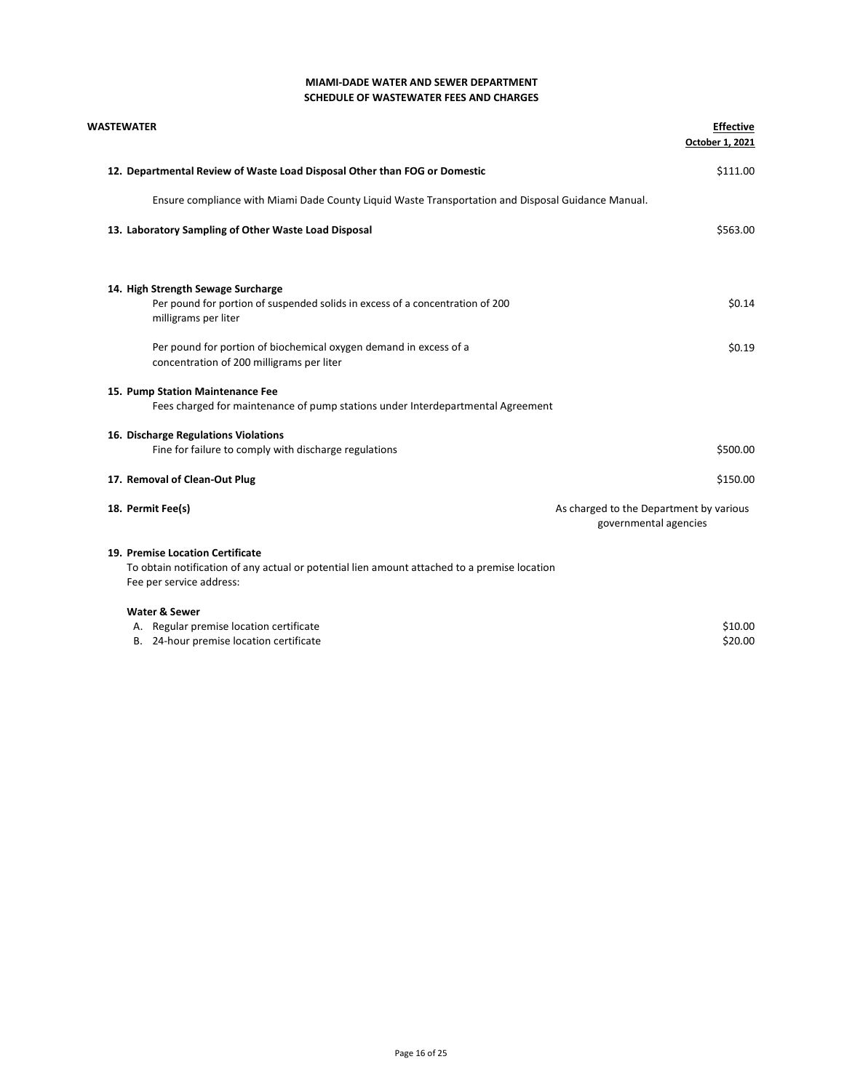| <b>WASTEWATER</b>                                                                                                   | <b>Effective</b><br>October 1, 2021                              |
|---------------------------------------------------------------------------------------------------------------------|------------------------------------------------------------------|
| 12. Departmental Review of Waste Load Disposal Other than FOG or Domestic                                           | \$111.00                                                         |
| Ensure compliance with Miami Dade County Liquid Waste Transportation and Disposal Guidance Manual.                  |                                                                  |
| 13. Laboratory Sampling of Other Waste Load Disposal                                                                | \$563.00                                                         |
| 14. High Strength Sewage Surcharge<br>Per pound for portion of suspended solids in excess of a concentration of 200 | \$0.14                                                           |
| milligrams per liter                                                                                                |                                                                  |
| Per pound for portion of biochemical oxygen demand in excess of a<br>concentration of 200 milligrams per liter      | \$0.19                                                           |
| 15. Pump Station Maintenance Fee<br>Fees charged for maintenance of pump stations under Interdepartmental Agreement |                                                                  |
| 16. Discharge Regulations Violations                                                                                |                                                                  |
| Fine for failure to comply with discharge regulations                                                               | \$500.00                                                         |
| 17. Removal of Clean-Out Plug                                                                                       | \$150.00                                                         |
| 18. Permit Fee(s)                                                                                                   | As charged to the Department by various<br>governmental agencies |
| 19. Premise Location Certificate                                                                                    |                                                                  |
| To obtain notification of any actual or potential lien amount attached to a premise location                        |                                                                  |
| Fee per service address:                                                                                            |                                                                  |
| <b>Water &amp; Sewer</b>                                                                                            |                                                                  |
| A. Regular premise location certificate<br>B. 24-hour premise location certificate                                  | \$10.00<br>\$20.00                                               |
|                                                                                                                     |                                                                  |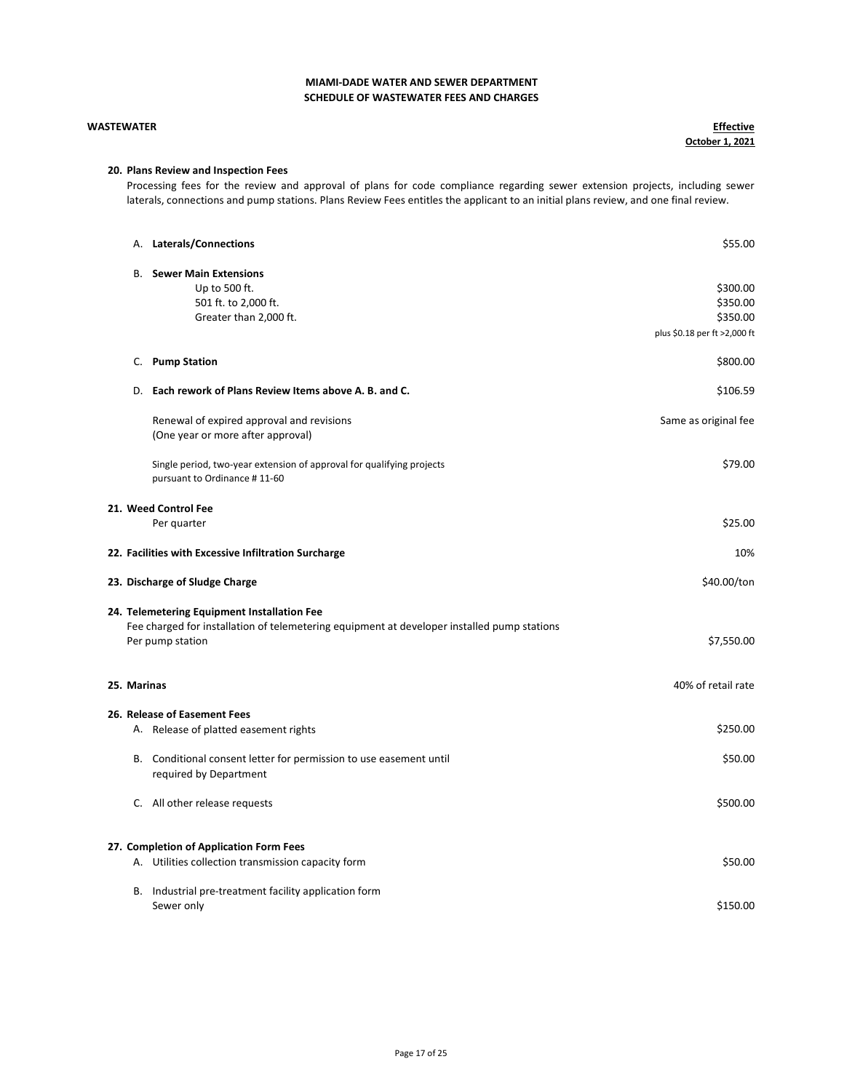### WASTEWATER

**Effective** October 1, 2021

### 20. Plans Review and Inspection Fees

Processing fees for the review and approval of plans for code compliance regarding sewer extension projects, including sewer laterals, connections and pump stations. Plans Review Fees entitles the applicant to an initial plans review, and one final review.

|             | A. Laterals/Connections                                                                               | \$55.00                      |
|-------------|-------------------------------------------------------------------------------------------------------|------------------------------|
|             | <b>B.</b> Sewer Main Extensions                                                                       |                              |
|             | Up to 500 ft.                                                                                         | \$300.00                     |
|             | 501 ft. to 2,000 ft.                                                                                  | \$350.00                     |
|             | Greater than 2,000 ft.                                                                                | \$350.00                     |
|             |                                                                                                       |                              |
|             |                                                                                                       | plus \$0.18 per ft >2,000 ft |
| C.          | <b>Pump Station</b>                                                                                   | \$800.00                     |
|             | D. Each rework of Plans Review Items above A. B. and C.                                               | \$106.59                     |
|             | Renewal of expired approval and revisions                                                             | Same as original fee         |
|             | (One year or more after approval)                                                                     |                              |
|             | Single period, two-year extension of approval for qualifying projects<br>pursuant to Ordinance #11-60 | \$79.00                      |
|             | 21. Weed Control Fee                                                                                  |                              |
|             | Per quarter                                                                                           | \$25.00                      |
|             | 22. Facilities with Excessive Infiltration Surcharge                                                  | 10%                          |
|             | 23. Discharge of Sludge Charge                                                                        | \$40.00/ton                  |
|             | 24. Telemetering Equipment Installation Fee                                                           |                              |
|             | Fee charged for installation of telemetering equipment at developer installed pump stations           |                              |
|             | Per pump station                                                                                      | \$7,550.00                   |
|             |                                                                                                       |                              |
| 25. Marinas |                                                                                                       | 40% of retail rate           |
|             |                                                                                                       |                              |
|             | 26. Release of Easement Fees                                                                          |                              |
|             | A. Release of platted easement rights                                                                 | \$250.00                     |
|             | B. Conditional consent letter for permission to use easement until                                    | \$50.00                      |
|             | required by Department                                                                                |                              |
|             | C. All other release requests                                                                         | \$500.00                     |
|             |                                                                                                       |                              |
|             | 27. Completion of Application Form Fees                                                               |                              |
|             |                                                                                                       |                              |
|             | A. Utilities collection transmission capacity form                                                    | \$50.00                      |
|             | B. Industrial pre-treatment facility application form                                                 |                              |
|             | Sewer only                                                                                            | \$150.00                     |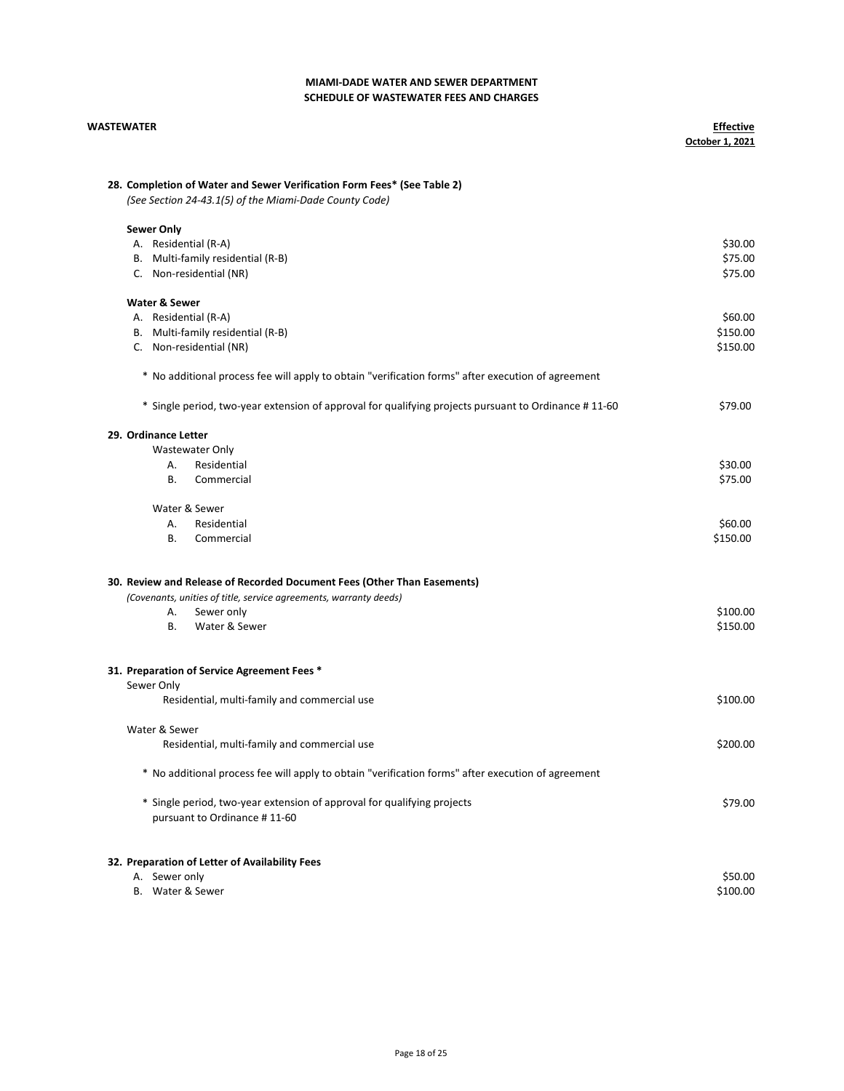| <b>WASTEWATER</b>                                                                                                                 | <b>Effective</b><br>October 1, 2021 |
|-----------------------------------------------------------------------------------------------------------------------------------|-------------------------------------|
| 28. Completion of Water and Sewer Verification Form Fees* (See Table 2)<br>(See Section 24-43.1(5) of the Miami-Dade County Code) |                                     |
| <b>Sewer Only</b>                                                                                                                 |                                     |
| A. Residential (R-A)                                                                                                              | \$30.00                             |
| B. Multi-family residential (R-B)                                                                                                 | \$75.00                             |
| C. Non-residential (NR)                                                                                                           | \$75.00                             |
| <b>Water &amp; Sewer</b>                                                                                                          |                                     |
| A. Residential (R-A)                                                                                                              | \$60.00                             |
| B. Multi-family residential (R-B)                                                                                                 | \$150.00                            |
| C. Non-residential (NR)                                                                                                           | \$150.00                            |
| * No additional process fee will apply to obtain "verification forms" after execution of agreement                                |                                     |
| * Single period, two-year extension of approval for qualifying projects pursuant to Ordinance #11-60                              | \$79.00                             |
| 29. Ordinance Letter                                                                                                              |                                     |
| Wastewater Only                                                                                                                   |                                     |
| Residential<br>А.                                                                                                                 | \$30.00                             |
| В.<br>Commercial                                                                                                                  | \$75.00                             |
| Water & Sewer                                                                                                                     |                                     |
| Α.<br>Residential                                                                                                                 | \$60.00                             |
| В.<br>Commercial                                                                                                                  | \$150.00                            |
| 30. Review and Release of Recorded Document Fees (Other Than Easements)                                                           |                                     |
| (Covenants, unities of title, service agreements, warranty deeds)                                                                 |                                     |
| Α.<br>Sewer only                                                                                                                  | \$100.00                            |
| Water & Sewer<br>В.                                                                                                               | \$150.00                            |
|                                                                                                                                   |                                     |
| 31. Preparation of Service Agreement Fees *                                                                                       |                                     |
| Sewer Only                                                                                                                        |                                     |
| Residential, multi-family and commercial use                                                                                      | \$100.00                            |
| Water & Sewer                                                                                                                     |                                     |
| Residential, multi-family and commercial use                                                                                      | \$200.00                            |
| * No additional process fee will apply to obtain "verification forms" after execution of agreement                                |                                     |
| * Single period, two-year extension of approval for qualifying projects                                                           | \$79.00                             |
| pursuant to Ordinance #11-60                                                                                                      |                                     |
|                                                                                                                                   |                                     |
| 32. Preparation of Letter of Availability Fees<br>A. Sewer only                                                                   | \$50.00                             |
|                                                                                                                                   |                                     |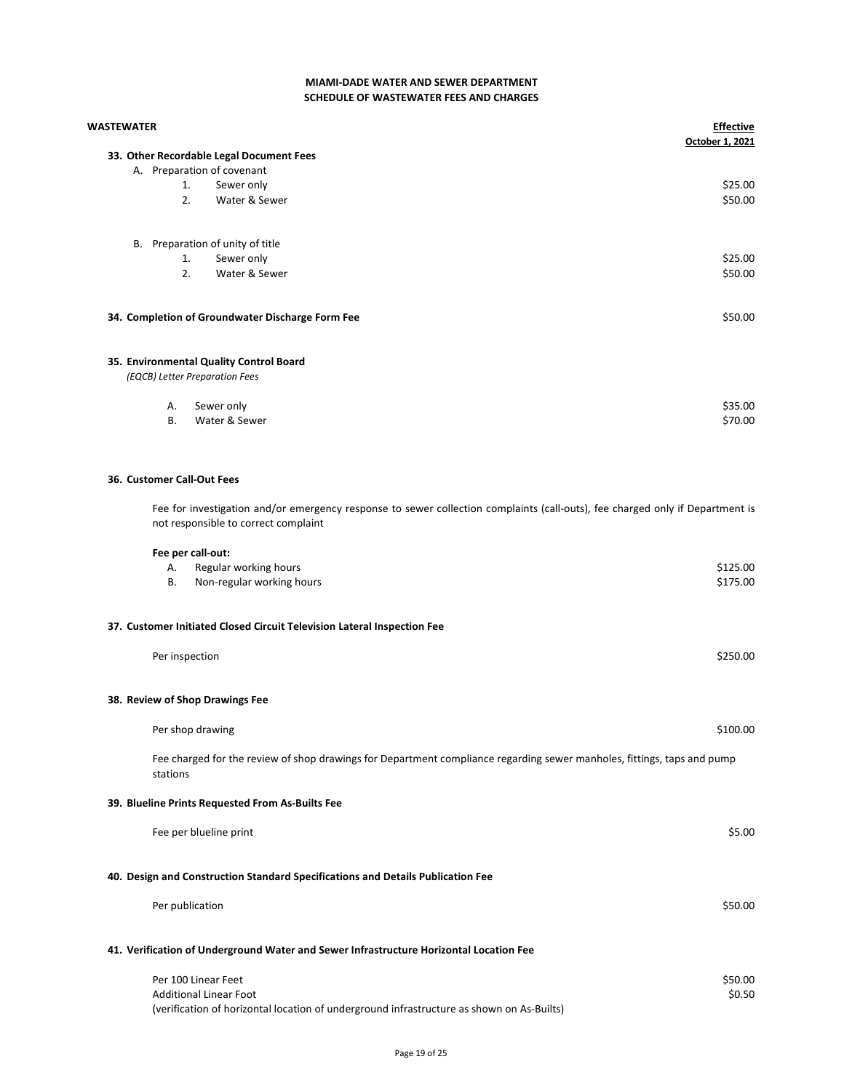| WASTEWATER |                                                                                                                                                                       | <b>Effective</b><br>October 1, 2021 |
|------------|-----------------------------------------------------------------------------------------------------------------------------------------------------------------------|-------------------------------------|
|            | 33. Other Recordable Legal Document Fees                                                                                                                              |                                     |
|            | A. Preparation of covenant<br>1.                                                                                                                                      | \$25.00                             |
|            | Sewer only<br>2.<br>Water & Sewer                                                                                                                                     | \$50.00                             |
|            |                                                                                                                                                                       |                                     |
|            | B. Preparation of unity of title                                                                                                                                      |                                     |
|            | Sewer only<br>1.                                                                                                                                                      | \$25.00                             |
|            | 2.<br>Water & Sewer                                                                                                                                                   | \$50.00                             |
|            | 34. Completion of Groundwater Discharge Form Fee                                                                                                                      | \$50.00                             |
|            | 35. Environmental Quality Control Board                                                                                                                               |                                     |
|            | (EQCB) Letter Preparation Fees                                                                                                                                        |                                     |
|            | Sewer only<br>Α.                                                                                                                                                      | \$35.00                             |
|            | Water & Sewer<br>В.                                                                                                                                                   | \$70.00                             |
|            | 36. Customer Call-Out Fees                                                                                                                                            |                                     |
|            | Fee for investigation and/or emergency response to sewer collection complaints (call-outs), fee charged only if Department is<br>not responsible to correct complaint |                                     |
|            | Fee per call-out:                                                                                                                                                     |                                     |
|            | Regular working hours<br>А.                                                                                                                                           | \$125.00                            |
|            | Non-regular working hours<br>В.                                                                                                                                       | \$175.00                            |
|            | 37. Customer Initiated Closed Circuit Television Lateral Inspection Fee                                                                                               |                                     |
|            | Per inspection                                                                                                                                                        | \$250.00                            |
|            | 38. Review of Shop Drawings Fee                                                                                                                                       |                                     |
|            | Per shop drawing                                                                                                                                                      | \$100.00                            |
|            | Fee charged for the review of shop drawings for Department compliance regarding sewer manholes, fittings, taps and pump<br>stations                                   |                                     |
|            | 39. Blueline Prints Requested From As-Builts Fee                                                                                                                      |                                     |
|            | Fee per blueline print                                                                                                                                                | \$5.00                              |
|            | 40. Design and Construction Standard Specifications and Details Publication Fee                                                                                       |                                     |
|            | Per publication                                                                                                                                                       | \$50.00                             |
|            | 41. Verification of Underground Water and Sewer Infrastructure Horizontal Location Fee                                                                                |                                     |

Per 100 Linear Feet \$50.00<br>Additional Linear Foot \$50.00 \$9.50 Additional Linear Foot (verification of horizontal location of underground infrastructure as shown on As-Builts)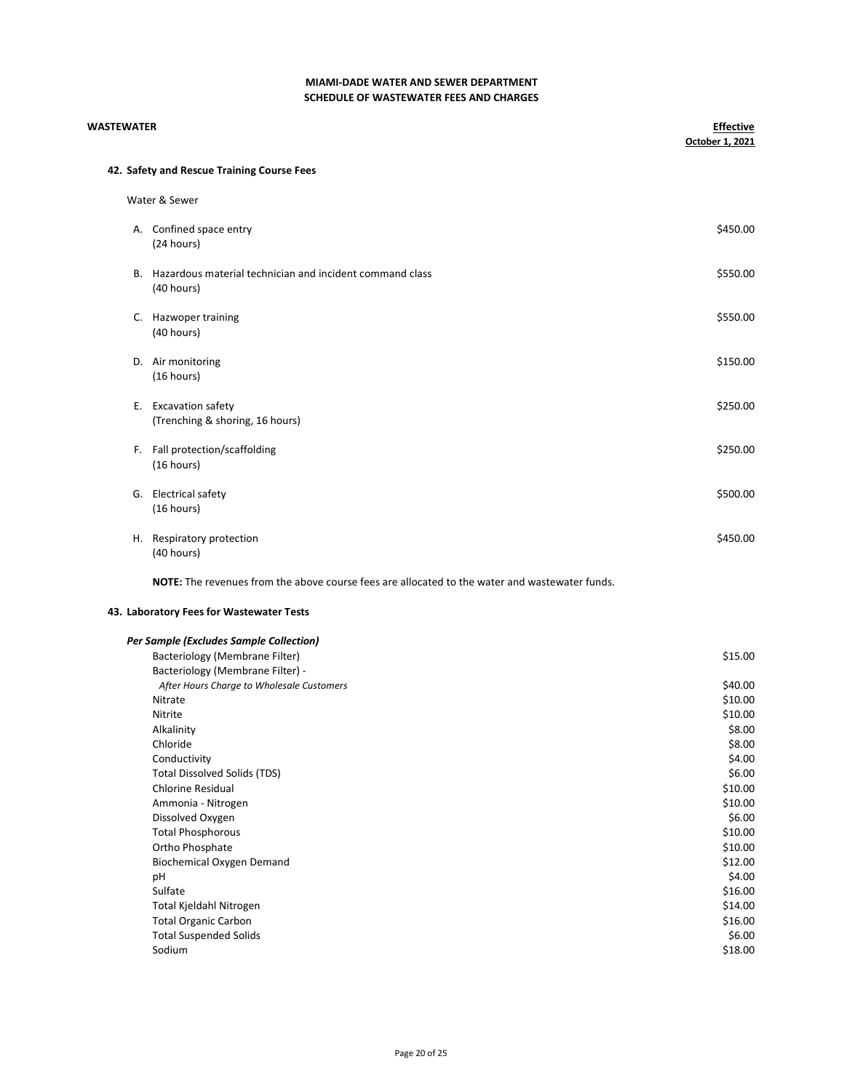| <b>WASTEWATER</b> |                                                                                                | <b>Effective</b><br>October 1, 2021 |
|-------------------|------------------------------------------------------------------------------------------------|-------------------------------------|
|                   | 42. Safety and Rescue Training Course Fees                                                     |                                     |
|                   | Water & Sewer                                                                                  |                                     |
|                   | A. Confined space entry                                                                        | \$450.00                            |
|                   | (24 hours)                                                                                     |                                     |
|                   | B. Hazardous material technician and incident command class                                    | \$550.00                            |
|                   | (40 hours)                                                                                     |                                     |
|                   | C. Hazwoper training                                                                           | \$550.00                            |
|                   | (40 hours)                                                                                     |                                     |
|                   | D. Air monitoring                                                                              | \$150.00                            |
|                   | (16 hours)                                                                                     |                                     |
|                   | E. Excavation safety                                                                           | \$250.00                            |
|                   | (Trenching & shoring, 16 hours)                                                                |                                     |
|                   | F. Fall protection/scaffolding                                                                 | \$250.00                            |
|                   | (16 hours)                                                                                     |                                     |
|                   | G. Electrical safety                                                                           | \$500.00                            |
|                   | (16 hours)                                                                                     |                                     |
|                   | H. Respiratory protection                                                                      | \$450.00                            |
|                   | (40 hours)                                                                                     |                                     |
|                   | NOTE: The revenues from the above course fees are allocated to the water and wastewater funds. |                                     |

# 43. Laboratory Fees for Wastewater Tests

| Per Sample (Excludes Sample Collection) |  |  |  |  |  |
|-----------------------------------------|--|--|--|--|--|
|-----------------------------------------|--|--|--|--|--|

| Bacteriology (Membrane Filter)            | \$15.00 |
|-------------------------------------------|---------|
| Bacteriology (Membrane Filter) -          |         |
| After Hours Charge to Wholesale Customers | \$40.00 |
| Nitrate                                   | \$10.00 |
| Nitrite                                   | \$10.00 |
| Alkalinity                                | \$8.00  |
| Chloride                                  | \$8.00  |
| Conductivity                              | \$4.00  |
| <b>Total Dissolved Solids (TDS)</b>       | \$6.00  |
| <b>Chlorine Residual</b>                  | \$10.00 |
| Ammonia - Nitrogen                        | \$10.00 |
| Dissolved Oxygen                          | \$6.00  |
| <b>Total Phosphorous</b>                  | \$10.00 |
| Ortho Phosphate                           | \$10.00 |
| Biochemical Oxygen Demand                 | \$12.00 |
| pH                                        | \$4.00  |
| Sulfate                                   | \$16.00 |
| Total Kjeldahl Nitrogen                   | \$14.00 |
| <b>Total Organic Carbon</b>               | \$16.00 |
| <b>Total Suspended Solids</b>             | \$6.00  |
| Sodium                                    | \$18.00 |
|                                           |         |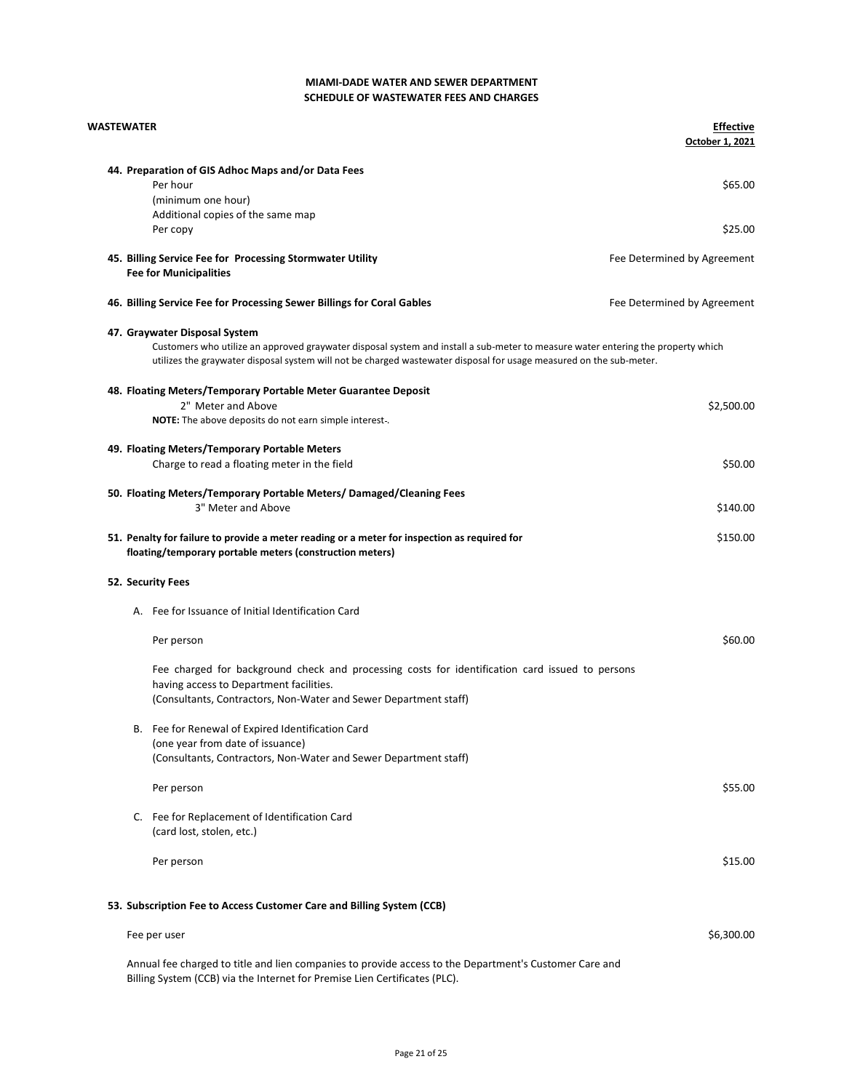| <b>WASTEWATER</b> |                                                                                                                                                                                                                                                                                          | <b>Effective</b><br>October 1, 2021 |
|-------------------|------------------------------------------------------------------------------------------------------------------------------------------------------------------------------------------------------------------------------------------------------------------------------------------|-------------------------------------|
|                   | 44. Preparation of GIS Adhoc Maps and/or Data Fees<br>Per hour<br>(minimum one hour)<br>Additional copies of the same map                                                                                                                                                                | \$65.00                             |
|                   | Per copy                                                                                                                                                                                                                                                                                 | \$25.00                             |
|                   | 45. Billing Service Fee for Processing Stormwater Utility<br><b>Fee for Municipalities</b>                                                                                                                                                                                               | Fee Determined by Agreement         |
|                   | 46. Billing Service Fee for Processing Sewer Billings for Coral Gables                                                                                                                                                                                                                   | Fee Determined by Agreement         |
|                   | 47. Graywater Disposal System<br>Customers who utilize an approved graywater disposal system and install a sub-meter to measure water entering the property which<br>utilizes the graywater disposal system will not be charged wastewater disposal for usage measured on the sub-meter. |                                     |
|                   | 48. Floating Meters/Temporary Portable Meter Guarantee Deposit                                                                                                                                                                                                                           |                                     |
|                   | 2" Meter and Above<br><b>NOTE:</b> The above deposits do not earn simple interest.                                                                                                                                                                                                       | \$2,500.00                          |
|                   | 49. Floating Meters/Temporary Portable Meters<br>Charge to read a floating meter in the field                                                                                                                                                                                            | \$50.00                             |
|                   | 50. Floating Meters/Temporary Portable Meters/ Damaged/Cleaning Fees<br>3" Meter and Above                                                                                                                                                                                               | \$140.00                            |
|                   | 51. Penalty for failure to provide a meter reading or a meter for inspection as required for<br>floating/temporary portable meters (construction meters)                                                                                                                                 | \$150.00                            |
| 52. Security Fees |                                                                                                                                                                                                                                                                                          |                                     |
|                   | A. Fee for Issuance of Initial Identification Card                                                                                                                                                                                                                                       |                                     |
|                   | Per person                                                                                                                                                                                                                                                                               | \$60.00                             |
|                   | Fee charged for background check and processing costs for identification card issued to persons<br>having access to Department facilities.<br>(Consultants, Contractors, Non-Water and Sewer Department staff)                                                                           |                                     |
|                   | B. Fee for Renewal of Expired Identification Card<br>(one year from date of issuance)<br>(Consultants, Contractors, Non-Water and Sewer Department staff)                                                                                                                                |                                     |
|                   | Per person                                                                                                                                                                                                                                                                               | \$55.00                             |
|                   | C. Fee for Replacement of Identification Card<br>(card lost, stolen, etc.)                                                                                                                                                                                                               |                                     |
|                   | Per person                                                                                                                                                                                                                                                                               | \$15.00                             |
|                   | 53. Subscription Fee to Access Customer Care and Billing System (CCB)                                                                                                                                                                                                                    |                                     |
|                   | Fee per user                                                                                                                                                                                                                                                                             | \$6,300.00                          |
|                   | Annual fee charged to title and lien companies to provide access to the Department's Customer Care and                                                                                                                                                                                   |                                     |

Billing System (CCB) via the Internet for Premise Lien Certificates (PLC).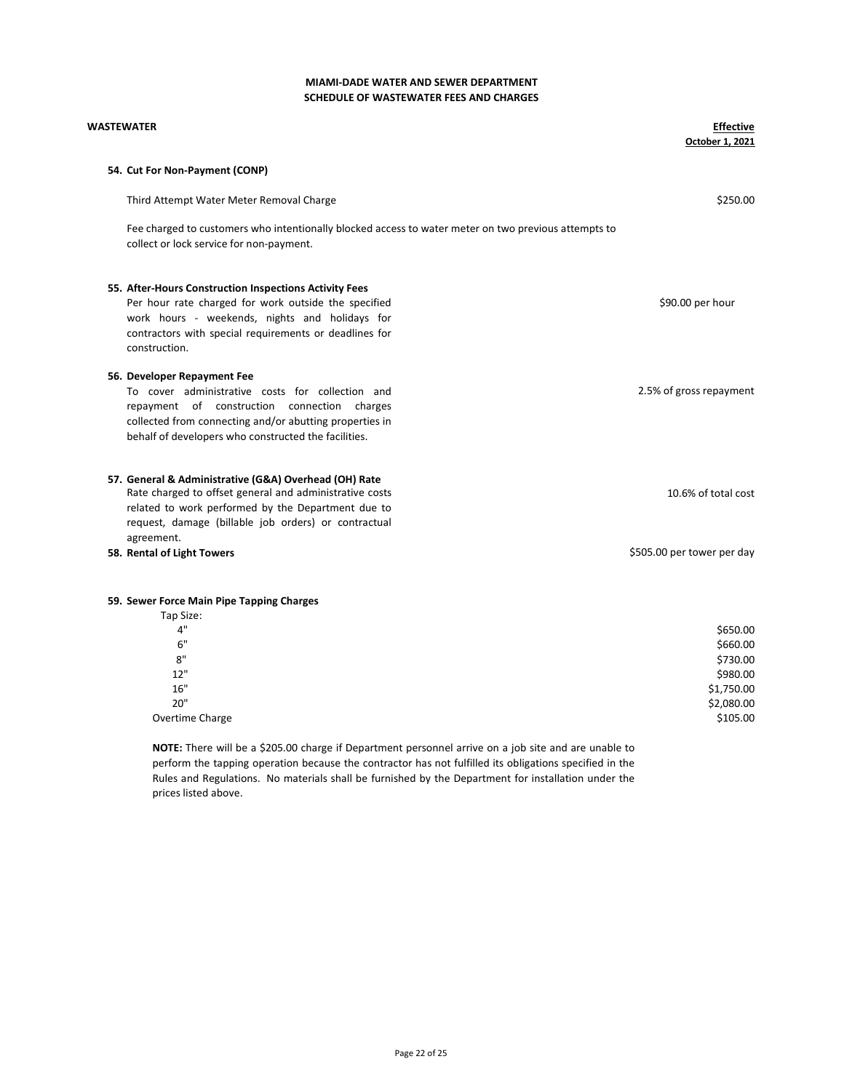| <b>WASTEWATER</b>                                                                                                                                | <b>Effective</b><br>October 1, 2021 |
|--------------------------------------------------------------------------------------------------------------------------------------------------|-------------------------------------|
| 54. Cut For Non-Payment (CONP)                                                                                                                   |                                     |
| Third Attempt Water Meter Removal Charge                                                                                                         | \$250.00                            |
| Fee charged to customers who intentionally blocked access to water meter on two previous attempts to<br>collect or lock service for non-payment. |                                     |
| 55. After-Hours Construction Inspections Activity Fees                                                                                           |                                     |
| Per hour rate charged for work outside the specified                                                                                             | \$90.00 per hour                    |
| work hours - weekends, nights and holidays for                                                                                                   |                                     |
| contractors with special requirements or deadlines for<br>construction.                                                                          |                                     |
| 56. Developer Repayment Fee                                                                                                                      |                                     |
| To cover administrative costs for collection and                                                                                                 | 2.5% of gross repayment             |
| repayment of construction connection charges                                                                                                     |                                     |
| collected from connecting and/or abutting properties in                                                                                          |                                     |
| behalf of developers who constructed the facilities.                                                                                             |                                     |
| 57. General & Administrative (G&A) Overhead (OH) Rate                                                                                            |                                     |
| Rate charged to offset general and administrative costs                                                                                          | 10.6% of total cost                 |
| related to work performed by the Department due to                                                                                               |                                     |
| request, damage (billable job orders) or contractual<br>agreement.                                                                               |                                     |
| 58. Rental of Light Towers                                                                                                                       | \$505.00 per tower per day          |
|                                                                                                                                                  |                                     |
| 59. Sewer Force Main Pipe Tapping Charges                                                                                                        |                                     |
| Tap Size:                                                                                                                                        |                                     |
| 4"                                                                                                                                               | \$650.00                            |
| 6"                                                                                                                                               | \$660.00                            |

| \$660.00   |
|------------|
| \$730.00   |
| \$980.00   |
| \$1,750.00 |
| \$2,080.00 |
| \$105.00   |
|            |

NOTE: There will be a \$205.00 charge if Department personnel arrive on a job site and are unable to perform the tapping operation because the contractor has not fulfilled its obligations specified in the Rules and Regulations. No materials shall be furnished by the Department for installation under the prices listed above.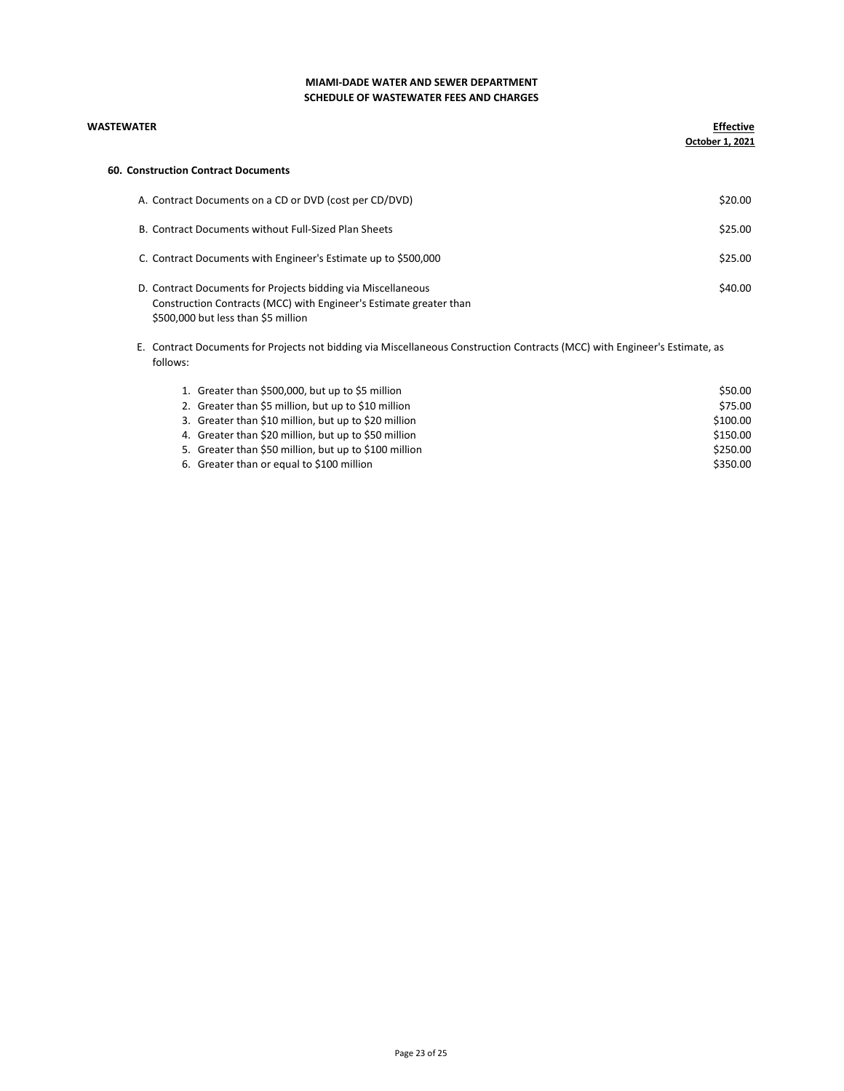| <b>WASTEWATER</b>                                                                                                                                                         | <b>Effective</b><br>October 1, 2021 |
|---------------------------------------------------------------------------------------------------------------------------------------------------------------------------|-------------------------------------|
| 60. Construction Contract Documents                                                                                                                                       |                                     |
| A. Contract Documents on a CD or DVD (cost per CD/DVD)                                                                                                                    | \$20.00                             |
| B. Contract Documents without Full-Sized Plan Sheets                                                                                                                      | \$25.00                             |
| C. Contract Documents with Engineer's Estimate up to \$500,000                                                                                                            | \$25.00                             |
| D. Contract Documents for Projects bidding via Miscellaneous<br>Construction Contracts (MCC) with Engineer's Estimate greater than<br>\$500,000 but less than \$5 million | \$40.00                             |
| Contract Documents for Projects not bidding via Miscellaneous Construction Contracts (MCC) with Engineer's Estimate, as<br>Е.<br>follows:                                 |                                     |

| 1. Greater than \$500,000, but up to \$5 million      | \$50.00  |
|-------------------------------------------------------|----------|
| 2. Greater than \$5 million, but up to \$10 million   | \$75.00  |
| 3. Greater than \$10 million, but up to \$20 million  | \$100.00 |
| 4. Greater than \$20 million, but up to \$50 million  | \$150.00 |
| 5. Greater than \$50 million, but up to \$100 million | \$250.00 |
| 6. Greater than or equal to \$100 million             | \$350.00 |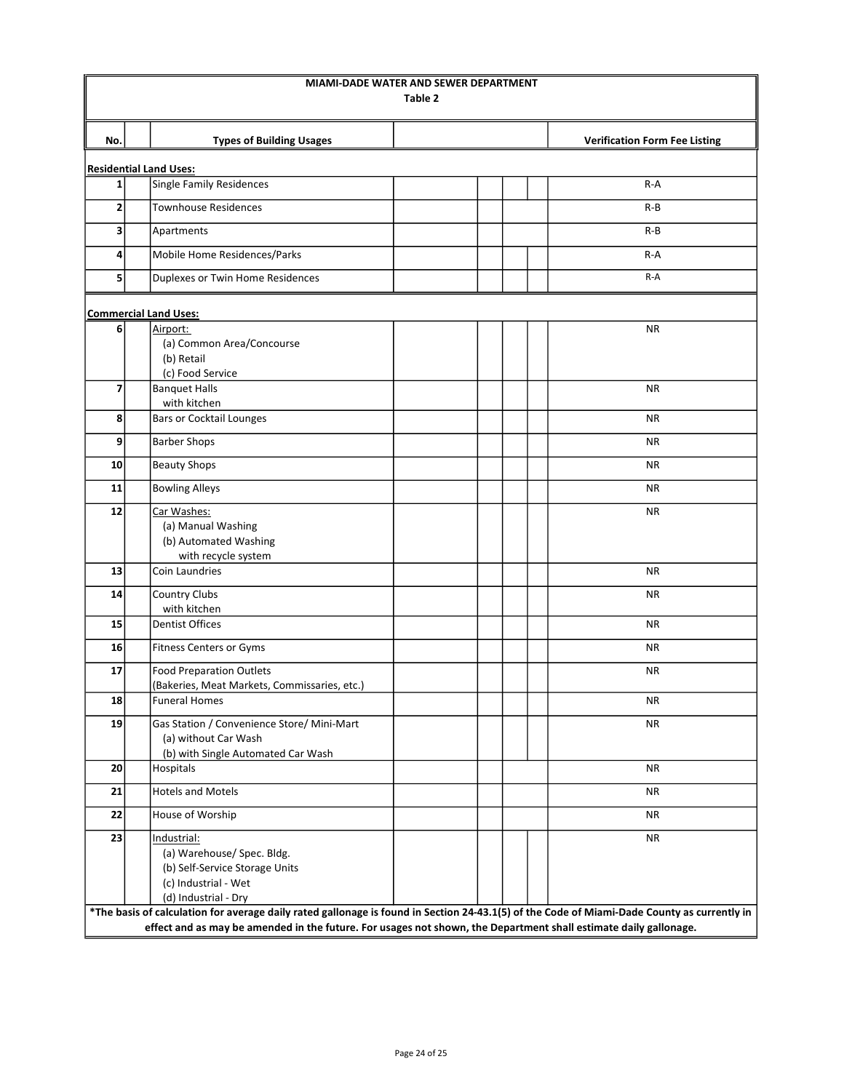|                          |                                                                                                                                             | MIAMI-DADE WATER AND SEWER DEPARTMENT<br>Table 2 |  |                                      |
|--------------------------|---------------------------------------------------------------------------------------------------------------------------------------------|--------------------------------------------------|--|--------------------------------------|
| No.                      | <b>Types of Building Usages</b>                                                                                                             |                                                  |  | <b>Verification Form Fee Listing</b> |
|                          | <b>Residential Land Uses:</b>                                                                                                               |                                                  |  |                                      |
| $1\vert$                 | <b>Single Family Residences</b>                                                                                                             |                                                  |  | $R-A$                                |
| 2                        | <b>Townhouse Residences</b>                                                                                                                 |                                                  |  | R-B                                  |
| 3                        | Apartments                                                                                                                                  |                                                  |  | R-B                                  |
| 4                        | Mobile Home Residences/Parks                                                                                                                |                                                  |  | $R-A$                                |
| 5                        | Duplexes or Twin Home Residences                                                                                                            |                                                  |  | R-A                                  |
|                          |                                                                                                                                             |                                                  |  |                                      |
|                          | <b>Commercial Land Uses:</b>                                                                                                                |                                                  |  |                                      |
| 6                        | Airport:                                                                                                                                    |                                                  |  | <b>NR</b>                            |
|                          | (a) Common Area/Concourse<br>(b) Retail                                                                                                     |                                                  |  |                                      |
|                          | (c) Food Service                                                                                                                            |                                                  |  |                                      |
| $\overline{\phantom{a}}$ | <b>Banquet Halls</b>                                                                                                                        |                                                  |  | <b>NR</b>                            |
|                          | with kitchen                                                                                                                                |                                                  |  |                                      |
| 8                        | <b>Bars or Cocktail Lounges</b>                                                                                                             |                                                  |  | <b>NR</b>                            |
| 9                        | <b>Barber Shops</b>                                                                                                                         |                                                  |  | <b>NR</b>                            |
| 10                       | <b>Beauty Shops</b>                                                                                                                         |                                                  |  | ΝR                                   |
| 11                       | <b>Bowling Alleys</b>                                                                                                                       |                                                  |  | <b>NR</b>                            |
| 12                       | Car Washes:                                                                                                                                 |                                                  |  | <b>NR</b>                            |
|                          | (a) Manual Washing                                                                                                                          |                                                  |  |                                      |
|                          | (b) Automated Washing                                                                                                                       |                                                  |  |                                      |
|                          | with recycle system<br>Coin Laundries                                                                                                       |                                                  |  | <b>NR</b>                            |
| 13                       |                                                                                                                                             |                                                  |  |                                      |
| 14                       | Country Clubs<br>with kitchen                                                                                                               |                                                  |  | ΝR                                   |
| 15                       | <b>Dentist Offices</b>                                                                                                                      |                                                  |  | <b>NR</b>                            |
| 16                       | <b>Fitness Centers or Gyms</b>                                                                                                              |                                                  |  | NR.                                  |
| 17                       | <b>Food Preparation Outlets</b>                                                                                                             |                                                  |  | <b>NR</b>                            |
|                          | (Bakeries, Meat Markets, Commissaries, etc.)                                                                                                |                                                  |  |                                      |
| 18                       | <b>Funeral Homes</b>                                                                                                                        |                                                  |  | ΝR                                   |
| 19                       | Gas Station / Convenience Store/ Mini-Mart                                                                                                  |                                                  |  | <b>NR</b>                            |
|                          | (a) without Car Wash                                                                                                                        |                                                  |  |                                      |
| 20                       | (b) with Single Automated Car Wash<br>Hospitals                                                                                             |                                                  |  | <b>NR</b>                            |
|                          |                                                                                                                                             |                                                  |  |                                      |
| 21                       | <b>Hotels and Motels</b>                                                                                                                    |                                                  |  | NR                                   |
| 22                       | House of Worship                                                                                                                            |                                                  |  | ΝR                                   |
| 23                       | Industrial:                                                                                                                                 |                                                  |  | <b>NR</b>                            |
|                          | (a) Warehouse/ Spec. Bldg.                                                                                                                  |                                                  |  |                                      |
|                          | (b) Self-Service Storage Units<br>(c) Industrial - Wet                                                                                      |                                                  |  |                                      |
|                          | (d) Industrial - Dry                                                                                                                        |                                                  |  |                                      |
|                          | *The basis of calculation for average daily rated gallonage is found in Section 24-43.1(5) of the Code of Miami-Dade County as currently in |                                                  |  |                                      |
|                          | effect and as may be amended in the future. For usages not shown, the Department shall estimate daily gallonage.                            |                                                  |  |                                      |